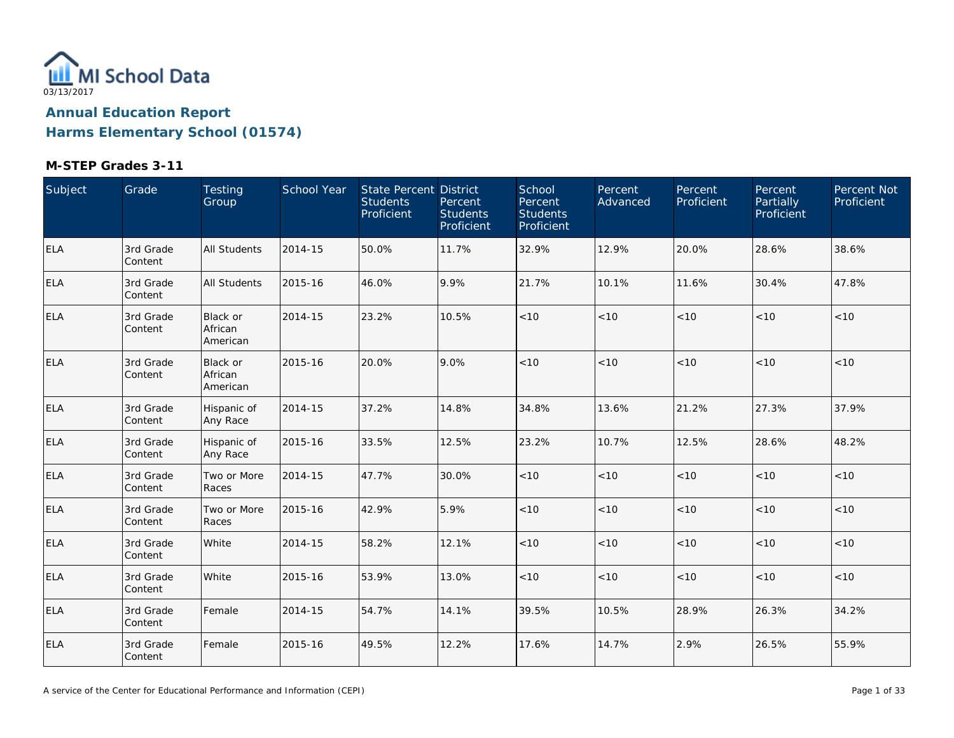

| Subject    | Grade                | Testing<br>Group                | School Year | <b>State Percent District</b><br><b>Students</b><br>Proficient | Percent<br><b>Students</b><br>Proficient | School<br>Percent<br><b>Students</b><br>Proficient | Percent<br>Advanced | Percent<br>Proficient | Percent<br>Partially<br>Proficient | Percent Not<br>Proficient |
|------------|----------------------|---------------------------------|-------------|----------------------------------------------------------------|------------------------------------------|----------------------------------------------------|---------------------|-----------------------|------------------------------------|---------------------------|
| <b>ELA</b> | 3rd Grade<br>Content | <b>All Students</b>             | 2014-15     | 50.0%                                                          | 11.7%                                    | 32.9%                                              | 12.9%               | 20.0%                 | 28.6%                              | 38.6%                     |
| <b>ELA</b> | 3rd Grade<br>Content | All Students                    | 2015-16     | 46.0%                                                          | 9.9%                                     | 21.7%                                              | 10.1%               | 11.6%                 | 30.4%                              | 47.8%                     |
| <b>ELA</b> | 3rd Grade<br>Content | Black or<br>African<br>American | 2014-15     | 23.2%                                                          | 10.5%                                    | $<10$                                              | < 10                | < 10                  | $<10$                              | < 10                      |
| <b>ELA</b> | 3rd Grade<br>Content | Black or<br>African<br>American | 2015-16     | 20.0%                                                          | 9.0%                                     | < 10                                               | < 10                | < 10                  | < 10                               | < 10                      |
| <b>ELA</b> | 3rd Grade<br>Content | Hispanic of<br>Any Race         | 2014-15     | 37.2%                                                          | 14.8%                                    | 34.8%                                              | 13.6%               | 21.2%                 | 27.3%                              | 37.9%                     |
| <b>ELA</b> | 3rd Grade<br>Content | Hispanic of<br>Any Race         | 2015-16     | 33.5%                                                          | 12.5%                                    | 23.2%                                              | 10.7%               | 12.5%                 | 28.6%                              | 48.2%                     |
| <b>ELA</b> | 3rd Grade<br>Content | Two or More<br>Races            | 2014-15     | 47.7%                                                          | 30.0%                                    | < 10                                               | < 10                | < 10                  | < 10                               | < 10                      |
| <b>ELA</b> | 3rd Grade<br>Content | Two or More<br>Races            | 2015-16     | 42.9%                                                          | 5.9%                                     | $<10$                                              | < 10                | < 10                  | < 10                               | $<10$                     |
| <b>ELA</b> | 3rd Grade<br>Content | White                           | 2014-15     | 58.2%                                                          | 12.1%                                    | < 10                                               | $<10$               | < 10                  | < 10                               | $<10$                     |
| <b>ELA</b> | 3rd Grade<br>Content | White                           | 2015-16     | 53.9%                                                          | 13.0%                                    | $<10$                                              | $<10$               | $<10$                 | < 10                               | < 10                      |
| <b>ELA</b> | 3rd Grade<br>Content | Female                          | 2014-15     | 54.7%                                                          | 14.1%                                    | 39.5%                                              | 10.5%               | 28.9%                 | 26.3%                              | 34.2%                     |
| <b>ELA</b> | 3rd Grade<br>Content | Female                          | 2015-16     | 49.5%                                                          | 12.2%                                    | 17.6%                                              | 14.7%               | 2.9%                  | 26.5%                              | 55.9%                     |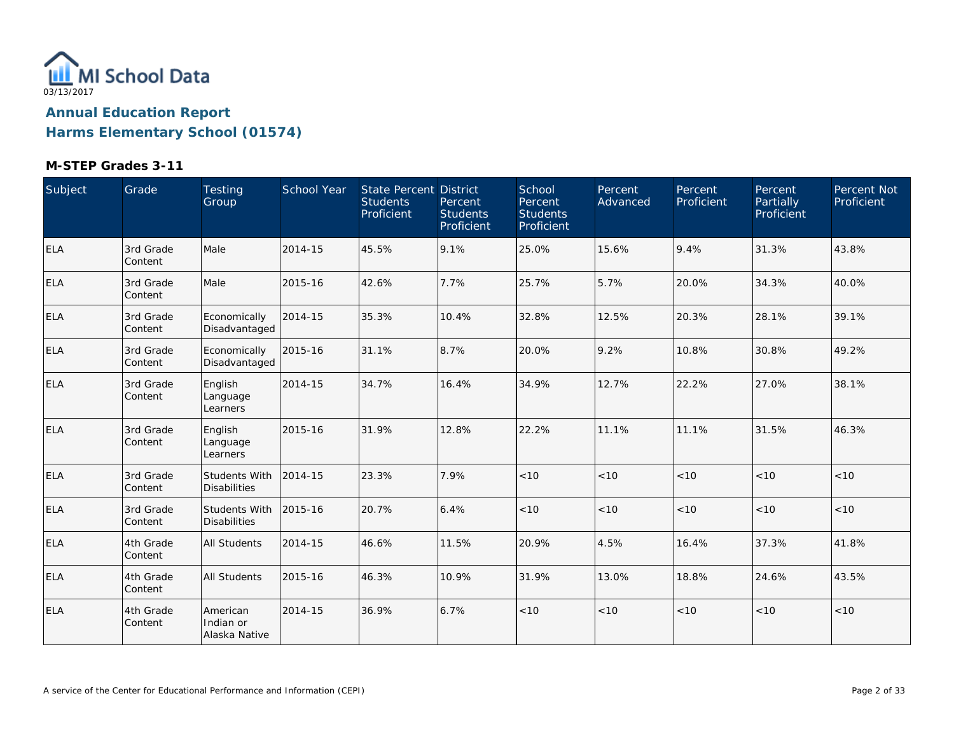

| Subject    | Grade                 | Testing<br>Group                       | School Year | <b>State Percent District</b><br><b>Students</b><br>Proficient | Percent<br><b>Students</b><br>Proficient | School<br>Percent<br><b>Students</b><br>Proficient | Percent<br>Advanced | Percent<br>Proficient | Percent<br>Partially<br>Proficient | Percent Not<br>Proficient |
|------------|-----------------------|----------------------------------------|-------------|----------------------------------------------------------------|------------------------------------------|----------------------------------------------------|---------------------|-----------------------|------------------------------------|---------------------------|
| ELA        | 3rd Grade<br>Content  | Male                                   | 2014-15     | 45.5%                                                          | 9.1%                                     | 25.0%                                              | 15.6%               | 9.4%                  | 31.3%                              | 43.8%                     |
| <b>ELA</b> | 3rd Grade<br>Content  | Male                                   | 2015-16     | 42.6%                                                          | 7.7%                                     | 25.7%                                              | 5.7%                | 20.0%                 | 34.3%                              | 40.0%                     |
| ELA        | 3rd Grade<br>Content  | Economically<br>Disadvantaged          | 2014-15     | 35.3%                                                          | 10.4%                                    | 32.8%                                              | 12.5%               | 20.3%                 | 28.1%                              | 39.1%                     |
| <b>ELA</b> | 3rd Grade<br>Content  | Economically<br>Disadvantaged          | 2015-16     | 31.1%                                                          | 8.7%                                     | 20.0%                                              | 9.2%                | 10.8%                 | 30.8%                              | 49.2%                     |
| ELA        | 3rd Grade<br>Content  | English<br>Language<br>Learners        | 2014-15     | 34.7%                                                          | 16.4%                                    | 34.9%                                              | 12.7%               | 22.2%                 | 27.0%                              | 38.1%                     |
| <b>ELA</b> | 3rd Grade<br>Content  | English<br>Language<br>Learners        | 2015-16     | 31.9%                                                          | 12.8%                                    | 22.2%                                              | 11.1%               | 11.1%                 | 31.5%                              | 46.3%                     |
| <b>ELA</b> | 3rd Grade<br>Content  | Students With<br><b>Disabilities</b>   | 2014-15     | 23.3%                                                          | 7.9%                                     | < 10                                               | < 10                | < 10                  | < 10                               | < 10                      |
| ELA        | 3rd Grade<br>Content  | Students With<br><b>Disabilities</b>   | 2015-16     | 20.7%                                                          | 6.4%                                     | $<10$                                              | < 10                | < 10                  | < 10                               | < 10                      |
| <b>ELA</b> | 4th Grade<br> Content | <b>All Students</b>                    | 2014-15     | 46.6%                                                          | 11.5%                                    | 20.9%                                              | 4.5%                | 16.4%                 | 37.3%                              | 41.8%                     |
| <b>ELA</b> | 4th Grade<br>Content  | All Students                           | 2015-16     | 46.3%                                                          | 10.9%                                    | 31.9%                                              | 13.0%               | 18.8%                 | 24.6%                              | 43.5%                     |
| <b>ELA</b> | 4th Grade<br>Content  | American<br>Indian or<br>Alaska Native | 2014-15     | 36.9%                                                          | 6.7%                                     | < 10                                               | < 10                | < 10                  | < 10                               | < 10                      |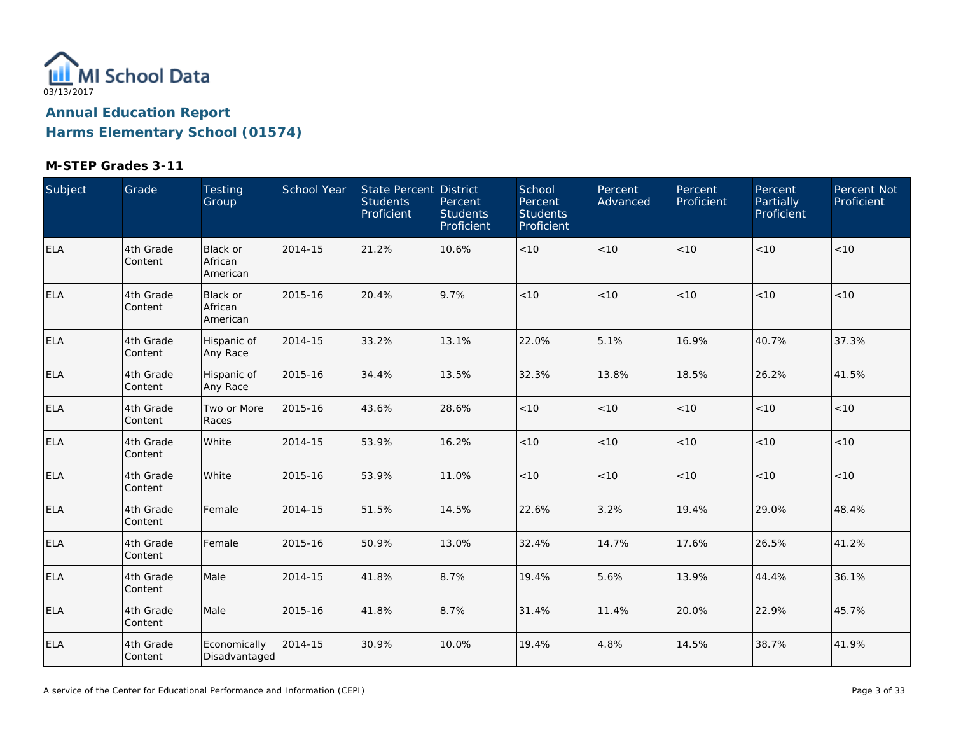

| Subject    | Grade                | Testing<br>Group                | School Year | State Percent District<br><b>Students</b><br>Proficient | Percent<br><b>Students</b><br>Proficient | School<br>Percent<br><b>Students</b><br><b>Proficient</b> | Percent<br>Advanced | Percent<br>Proficient | Percent<br>Partially<br>Proficient | Percent Not<br>Proficient |
|------------|----------------------|---------------------------------|-------------|---------------------------------------------------------|------------------------------------------|-----------------------------------------------------------|---------------------|-----------------------|------------------------------------|---------------------------|
| <b>ELA</b> | 4th Grade<br>Content | Black or<br>African<br>American | 2014-15     | 21.2%                                                   | 10.6%                                    | < 10                                                      | < 10                | < 10                  | < 10                               | < 10                      |
| <b>ELA</b> | 4th Grade<br>Content | Black or<br>African<br>American | 2015-16     | 20.4%                                                   | 9.7%                                     | < 10                                                      | < 10                | < 10                  | < 10                               | < 10                      |
| <b>ELA</b> | 4th Grade<br>Content | Hispanic of<br>Any Race         | 2014-15     | 33.2%                                                   | 13.1%                                    | 22.0%                                                     | 5.1%                | 16.9%                 | 40.7%                              | 37.3%                     |
| <b>ELA</b> | 4th Grade<br>Content | Hispanic of<br>Any Race         | 2015-16     | 34.4%                                                   | 13.5%                                    | 32.3%                                                     | 13.8%               | 18.5%                 | 26.2%                              | 41.5%                     |
| <b>ELA</b> | 4th Grade<br>Content | Two or More<br>Races            | 2015-16     | 43.6%                                                   | 28.6%                                    | $<10$                                                     | < 10                | < 10                  | < 10                               | <10                       |
| <b>ELA</b> | 4th Grade<br>Content | White                           | 2014-15     | 53.9%                                                   | 16.2%                                    | $<10$                                                     | < 10                | < 10                  | < 10                               | < 10                      |
| <b>ELA</b> | 4th Grade<br>Content | White                           | 2015-16     | 53.9%                                                   | 11.0%                                    | $<10$                                                     | $<10$               | $<10$                 | < 10                               | < 10                      |
| <b>ELA</b> | 4th Grade<br>Content | Female                          | 2014-15     | 51.5%                                                   | 14.5%                                    | 22.6%                                                     | 3.2%                | 19.4%                 | 29.0%                              | 48.4%                     |
| <b>ELA</b> | 4th Grade<br>Content | Female                          | 2015-16     | 50.9%                                                   | 13.0%                                    | 32.4%                                                     | 14.7%               | 17.6%                 | 26.5%                              | 41.2%                     |
| ELA        | 4th Grade<br>Content | Male                            | 2014-15     | 41.8%                                                   | 8.7%                                     | 19.4%                                                     | 5.6%                | 13.9%                 | 44.4%                              | 36.1%                     |
| <b>ELA</b> | 4th Grade<br>Content | Male                            | 2015-16     | 41.8%                                                   | 8.7%                                     | 31.4%                                                     | 11.4%               | 20.0%                 | 22.9%                              | 45.7%                     |
| <b>ELA</b> | 4th Grade<br>Content | Economically<br>Disadvantaged   | 2014-15     | 30.9%                                                   | 10.0%                                    | 19.4%                                                     | 4.8%                | 14.5%                 | 38.7%                              | 41.9%                     |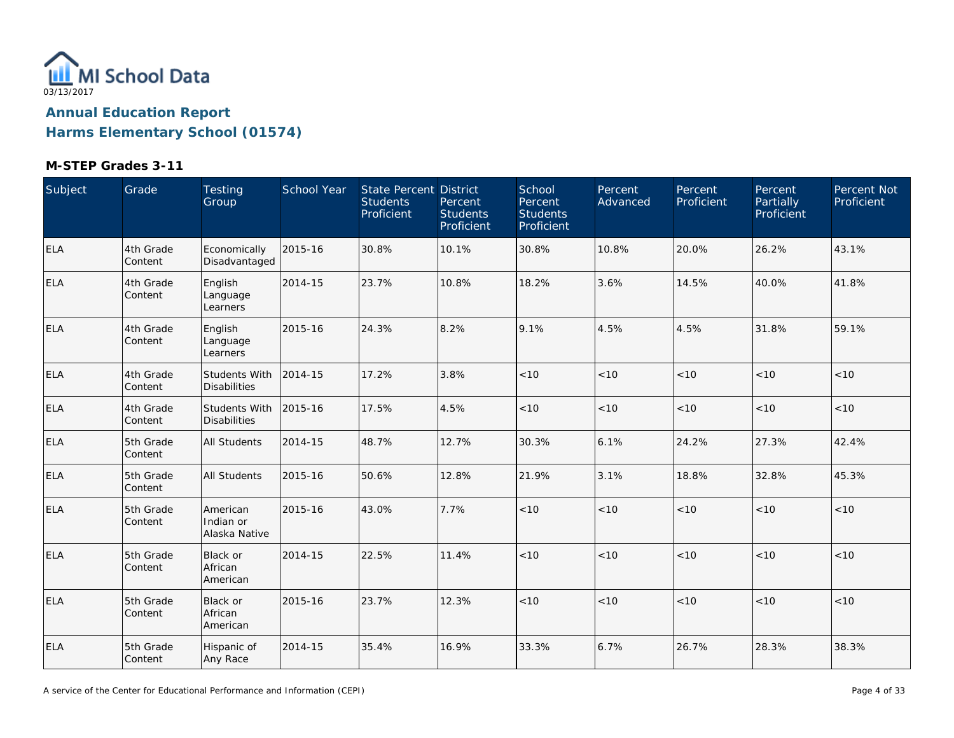

| Subject    | Grade                | Testing<br>Group                            | School Year | <b>State Percent District</b><br><b>Students</b><br>Proficient | Percent<br><b>Students</b><br>Proficient | School<br>Percent<br><b>Students</b><br>Proficient | Percent<br>Advanced | Percent<br>Proficient | Percent<br>Partially<br>Proficient | Percent Not<br>Proficient |
|------------|----------------------|---------------------------------------------|-------------|----------------------------------------------------------------|------------------------------------------|----------------------------------------------------|---------------------|-----------------------|------------------------------------|---------------------------|
| <b>ELA</b> | 4th Grade<br>Content | Economically<br>Disadvantaged               | 2015-16     | 30.8%                                                          | 10.1%                                    | 30.8%                                              | 10.8%               | 20.0%                 | 26.2%                              | 43.1%                     |
| <b>ELA</b> | 4th Grade<br>Content | English<br>Language<br>Learners             | 2014-15     | 23.7%                                                          | 10.8%                                    | 18.2%                                              | 3.6%                | 14.5%                 | 40.0%                              | 41.8%                     |
| ELA        | 4th Grade<br>Content | English<br>Language<br>Learners             | 2015-16     | 24.3%                                                          | 8.2%                                     | 9.1%                                               | 4.5%                | 4.5%                  | 31.8%                              | 59.1%                     |
| <b>ELA</b> | 4th Grade<br>Content | Students With<br><b>Disabilities</b>        | 2014-15     | 17.2%                                                          | 3.8%                                     | $<10$                                              | $<10$               | < 10                  | < 10                               | $<10$                     |
| <b>ELA</b> | 4th Grade<br>Content | <b>Students With</b><br><b>Disabilities</b> | 2015-16     | 17.5%                                                          | 4.5%                                     | $<10$                                              | $<10$               | $<10$                 | < 10                               | < 10                      |
| <b>ELA</b> | 5th Grade<br>Content | <b>All Students</b>                         | 2014-15     | 48.7%                                                          | 12.7%                                    | 30.3%                                              | 6.1%                | 24.2%                 | 27.3%                              | 42.4%                     |
| <b>ELA</b> | 5th Grade<br>Content | All Students                                | 2015-16     | 50.6%                                                          | 12.8%                                    | 21.9%                                              | 3.1%                | 18.8%                 | 32.8%                              | 45.3%                     |
| <b>ELA</b> | 5th Grade<br>Content | American<br>Indian or<br>Alaska Native      | 2015-16     | 43.0%                                                          | 7.7%                                     | $<10$                                              | $<10$               | < 10                  | < 10                               | < 10                      |
| <b>ELA</b> | 5th Grade<br>Content | <b>Black or</b><br>African<br>American      | 2014-15     | 22.5%                                                          | 11.4%                                    | < 10                                               | < 10                | < 10                  | < 10                               | < 10                      |
| <b>ELA</b> | 5th Grade<br>Content | Black or<br>African<br>American             | 2015-16     | 23.7%                                                          | 12.3%                                    | < 10                                               | < 10                | < 10                  | < 10                               | < 10                      |
| <b>ELA</b> | 5th Grade<br>Content | Hispanic of<br>Any Race                     | 2014-15     | 35.4%                                                          | 16.9%                                    | 33.3%                                              | 6.7%                | 26.7%                 | 28.3%                              | 38.3%                     |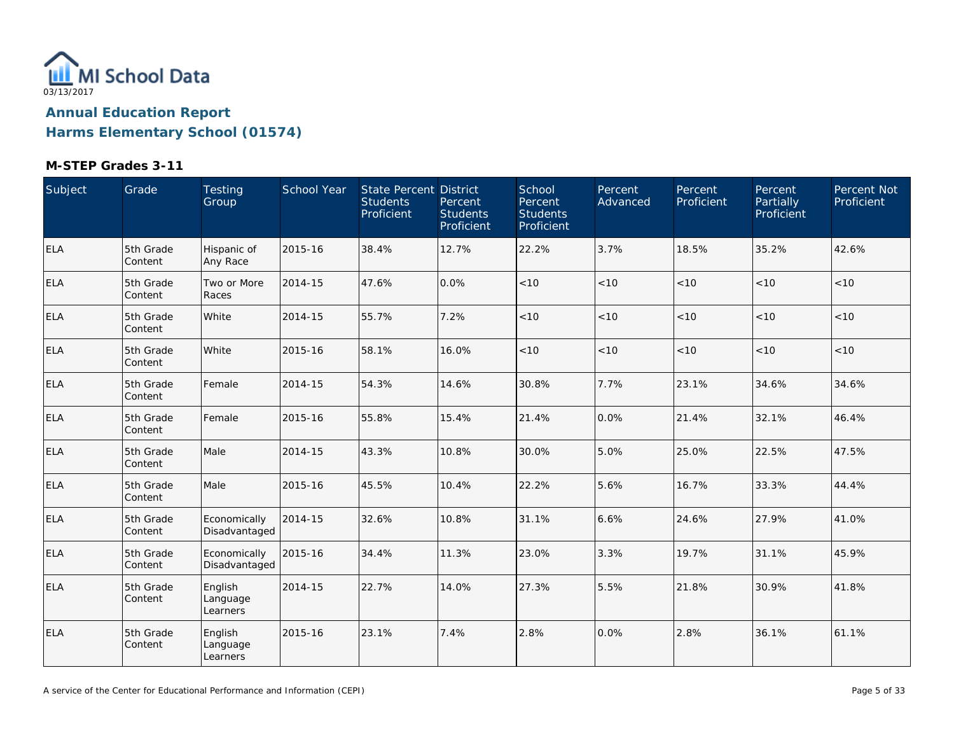

| Subject    | Grade                 | Testing<br>Group                | School Year | State Percent District<br><b>Students</b><br>Proficient | Percent<br><b>Students</b><br>Proficient | School<br>Percent<br><b>Students</b><br>Proficient | Percent<br>Advanced | Percent<br>Proficient | Percent<br>Partially<br>Proficient | Percent Not<br>Proficient |
|------------|-----------------------|---------------------------------|-------------|---------------------------------------------------------|------------------------------------------|----------------------------------------------------|---------------------|-----------------------|------------------------------------|---------------------------|
| <b>ELA</b> | 5th Grade<br>Content  | Hispanic of<br>Any Race         | 2015-16     | 38.4%                                                   | 12.7%                                    | 22.2%                                              | 3.7%                | 18.5%                 | 35.2%                              | 42.6%                     |
| <b>ELA</b> | 5th Grade<br>Content  | Two or More<br>Races            | 2014-15     | 47.6%                                                   | 0.0%                                     | < 10                                               | < 10                | < 10                  | < 10                               | < 10                      |
| ELA        | 5th Grade<br>Content  | White                           | 2014-15     | 55.7%                                                   | 7.2%                                     | < 10                                               | < 10                | < 10                  | < 10                               | < 10                      |
| <b>ELA</b> | 5th Grade<br>Content  | White                           | 2015-16     | 58.1%                                                   | 16.0%                                    | < 10                                               | < 10                | < 10                  | < 10                               | < 10                      |
| <b>ELA</b> | 5th Grade<br>Content  | Female                          | 2014-15     | 54.3%                                                   | 14.6%                                    | 30.8%                                              | 7.7%                | 23.1%                 | 34.6%                              | 34.6%                     |
| <b>ELA</b> | 5th Grade<br> Content | Female                          | 2015-16     | 55.8%                                                   | 15.4%                                    | 21.4%                                              | 0.0%                | 21.4%                 | 32.1%                              | 46.4%                     |
| <b>ELA</b> | 5th Grade<br>Content  | Male                            | 2014-15     | 43.3%                                                   | 10.8%                                    | 30.0%                                              | 5.0%                | 25.0%                 | 22.5%                              | 47.5%                     |
| <b>ELA</b> | 5th Grade<br>Content  | Male                            | 2015-16     | 45.5%                                                   | 10.4%                                    | 22.2%                                              | 5.6%                | 16.7%                 | 33.3%                              | 44.4%                     |
| <b>ELA</b> | 5th Grade<br>Content  | Economically<br>Disadvantaged   | 2014-15     | 32.6%                                                   | 10.8%                                    | 31.1%                                              | 6.6%                | 24.6%                 | 27.9%                              | 41.0%                     |
| ELA        | 5th Grade<br>Content  | Economically<br>Disadvantaged   | 2015-16     | 34.4%                                                   | 11.3%                                    | 23.0%                                              | 3.3%                | 19.7%                 | 31.1%                              | 45.9%                     |
| <b>ELA</b> | 5th Grade<br>Content  | English<br>Language<br>Learners | 2014-15     | 22.7%                                                   | 14.0%                                    | 27.3%                                              | 5.5%                | 21.8%                 | 30.9%                              | 41.8%                     |
| <b>ELA</b> | 5th Grade<br>Content  | English<br>Language<br>Learners | 2015-16     | 23.1%                                                   | 7.4%                                     | 2.8%                                               | 0.0%                | 2.8%                  | 36.1%                              | 61.1%                     |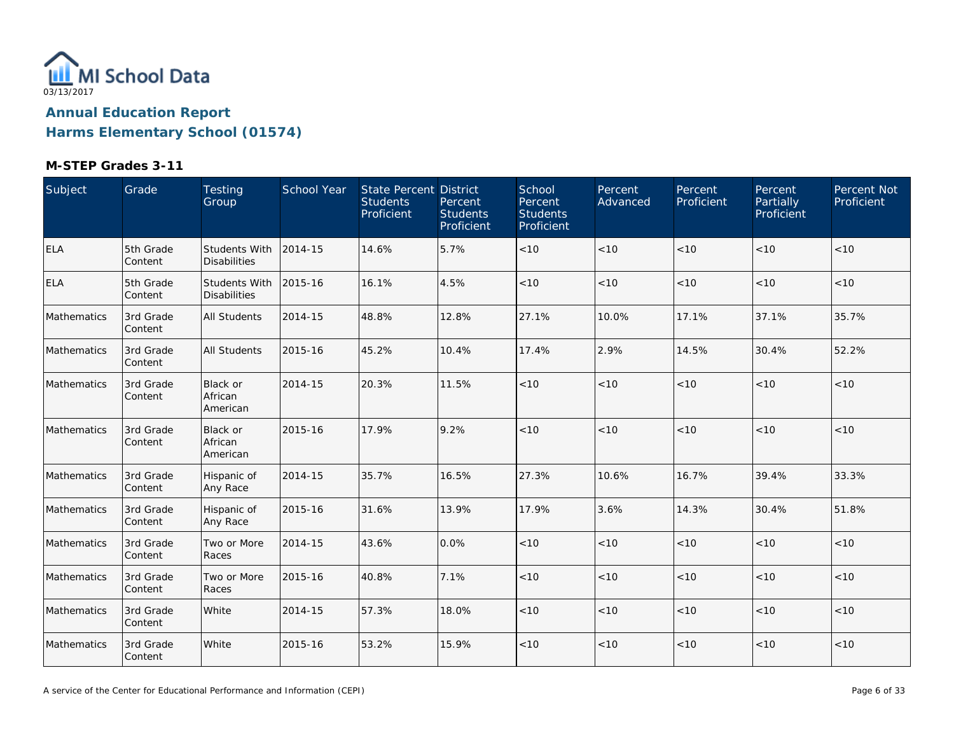

| Subject     | Grade                | Testing<br>Group                            | School Year | State Percent District<br><b>Students</b><br>Proficient | Percent<br><b>Students</b><br>Proficient | School<br>Percent<br><b>Students</b><br>Proficient | Percent<br>Advanced | Percent<br>Proficient | Percent<br>Partially<br>Proficient | Percent Not<br>Proficient |
|-------------|----------------------|---------------------------------------------|-------------|---------------------------------------------------------|------------------------------------------|----------------------------------------------------|---------------------|-----------------------|------------------------------------|---------------------------|
| <b>ELA</b>  | 5th Grade<br>Content | <b>Students With</b><br><b>Disabilities</b> | 2014-15     | 14.6%                                                   | 5.7%                                     | < 10                                               | < 10                | < 10                  | < 10                               | < 10                      |
| <b>ELA</b>  | 5th Grade<br>Content | <b>Students With</b><br><b>Disabilities</b> | 2015-16     | 16.1%                                                   | 4.5%                                     | < 10                                               | < 10                | < 10                  | < 10                               | < 10                      |
| Mathematics | 3rd Grade<br>Content | <b>All Students</b>                         | 2014-15     | 48.8%                                                   | 12.8%                                    | 27.1%                                              | 10.0%               | 17.1%                 | 37.1%                              | 35.7%                     |
| Mathematics | 3rd Grade<br>Content | <b>All Students</b>                         | 2015-16     | 45.2%                                                   | 10.4%                                    | 17.4%                                              | 2.9%                | 14.5%                 | 30.4%                              | 52.2%                     |
| Mathematics | 3rd Grade<br>Content | <b>Black or</b><br>African<br>American      | 2014-15     | 20.3%                                                   | 11.5%                                    | < 10                                               | < 10                | < 10                  | < 10                               | < 10                      |
| Mathematics | 3rd Grade<br>Content | <b>Black or</b><br>African<br>American      | 2015-16     | 17.9%                                                   | 9.2%                                     | < 10                                               | < 10                | < 10                  | < 10                               | < 10                      |
| Mathematics | 3rd Grade<br>Content | Hispanic of<br>Any Race                     | 2014-15     | 35.7%                                                   | 16.5%                                    | 27.3%                                              | 10.6%               | 16.7%                 | 39.4%                              | 33.3%                     |
| Mathematics | 3rd Grade<br>Content | Hispanic of<br>Any Race                     | 2015-16     | 31.6%                                                   | 13.9%                                    | 17.9%                                              | 3.6%                | 14.3%                 | 30.4%                              | 51.8%                     |
| Mathematics | 3rd Grade<br>Content | Two or More<br>Races                        | 2014-15     | 43.6%                                                   | 0.0%                                     | $<10$                                              | $<10$               | $<10$                 | < 10                               | $<10$                     |
| Mathematics | 3rd Grade<br>Content | Two or More<br>Races                        | 2015-16     | 40.8%                                                   | 7.1%                                     | $<10$                                              | < 10                | $<10$                 | < 10                               | < 10                      |
| Mathematics | 3rd Grade<br>Content | White                                       | 2014-15     | 57.3%                                                   | 18.0%                                    | < 10                                               | < 10                | < 10                  | < 10                               | < 10                      |
| Mathematics | 3rd Grade<br>Content | White                                       | 2015-16     | 53.2%                                                   | 15.9%                                    | < 10                                               | < 10                | < 10                  | < 10                               | < 10                      |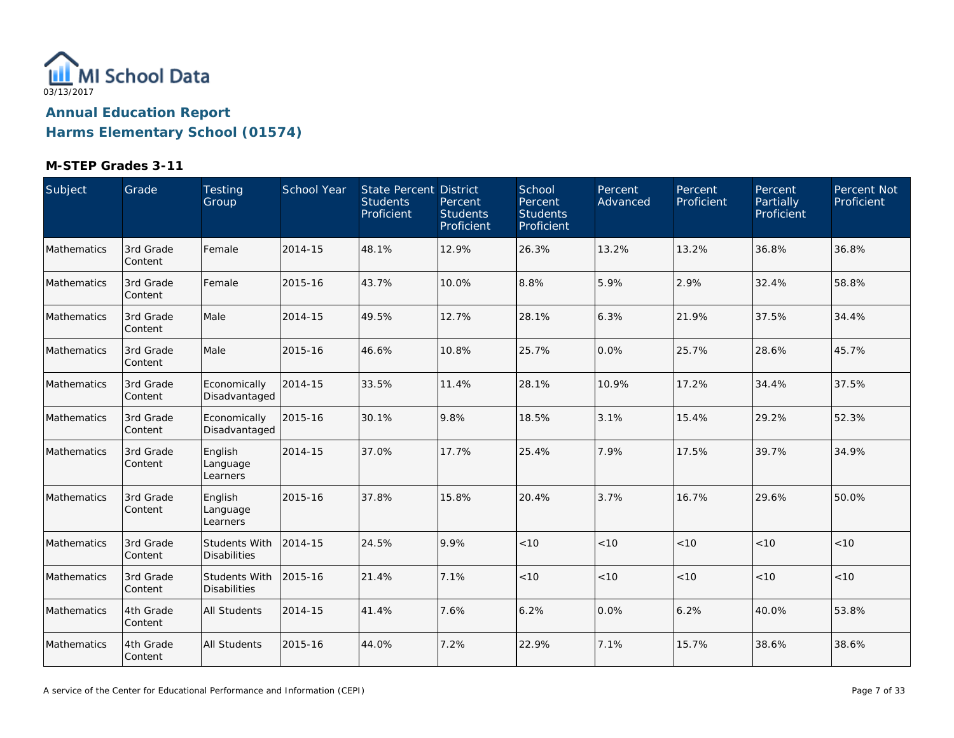

| Subject     | Grade                | Testing<br>Group                            | School Year | State Percent District<br><b>Students</b><br>Proficient | Percent<br><b>Students</b><br>Proficient | School<br>Percent<br><b>Students</b><br>Proficient | Percent<br>Advanced | Percent<br>Proficient | Percent<br>Partially<br>Proficient | Percent Not<br>Proficient |
|-------------|----------------------|---------------------------------------------|-------------|---------------------------------------------------------|------------------------------------------|----------------------------------------------------|---------------------|-----------------------|------------------------------------|---------------------------|
| Mathematics | 3rd Grade<br>Content | Female                                      | 2014-15     | 48.1%                                                   | 12.9%                                    | 26.3%                                              | 13.2%               | 13.2%                 | 36.8%                              | 36.8%                     |
| Mathematics | 3rd Grade<br>Content | Female                                      | 2015-16     | 43.7%                                                   | 10.0%                                    | 8.8%                                               | 5.9%                | 2.9%                  | 32.4%                              | 58.8%                     |
| Mathematics | 3rd Grade<br>Content | Male                                        | 2014-15     | 49.5%                                                   | 12.7%                                    | 28.1%                                              | 6.3%                | 21.9%                 | 37.5%                              | 34.4%                     |
| Mathematics | 3rd Grade<br>Content | Male                                        | 2015-16     | 46.6%                                                   | 10.8%                                    | 25.7%                                              | 0.0%                | 25.7%                 | 28.6%                              | 45.7%                     |
| Mathematics | 3rd Grade<br>Content | Economically<br>Disadvantaged               | 2014-15     | 33.5%                                                   | 11.4%                                    | 28.1%                                              | 10.9%               | 17.2%                 | 34.4%                              | 37.5%                     |
| Mathematics | 3rd Grade<br>Content | Economically<br>Disadvantaged               | 2015-16     | 30.1%                                                   | 9.8%                                     | 18.5%                                              | 3.1%                | 15.4%                 | 29.2%                              | 52.3%                     |
| Mathematics | 3rd Grade<br>Content | English<br>Language<br>Learners             | 2014-15     | 37.0%                                                   | 17.7%                                    | 25.4%                                              | 7.9%                | 17.5%                 | 39.7%                              | 34.9%                     |
| Mathematics | 3rd Grade<br>Content | English<br>Language<br>Learners             | 2015-16     | 37.8%                                                   | 15.8%                                    | 20.4%                                              | 3.7%                | 16.7%                 | 29.6%                              | 50.0%                     |
| Mathematics | 3rd Grade<br>Content | <b>Students With</b><br><b>Disabilities</b> | 2014-15     | 24.5%                                                   | 9.9%                                     | < 10                                               | $<10$               | < 10                  | < 10                               | < 10                      |
| Mathematics | 3rd Grade<br>Content | <b>Students With</b><br><b>Disabilities</b> | 2015-16     | 21.4%                                                   | 7.1%                                     | < 10                                               | < 10                | < 10                  | < 10                               | < 10                      |
| Mathematics | 4th Grade<br>Content | <b>All Students</b>                         | 2014-15     | 41.4%                                                   | 7.6%                                     | 6.2%                                               | 0.0%                | 6.2%                  | 40.0%                              | 53.8%                     |
| Mathematics | 4th Grade<br>Content | <b>All Students</b>                         | 2015-16     | 44.0%                                                   | 7.2%                                     | 22.9%                                              | 7.1%                | 15.7%                 | 38.6%                              | 38.6%                     |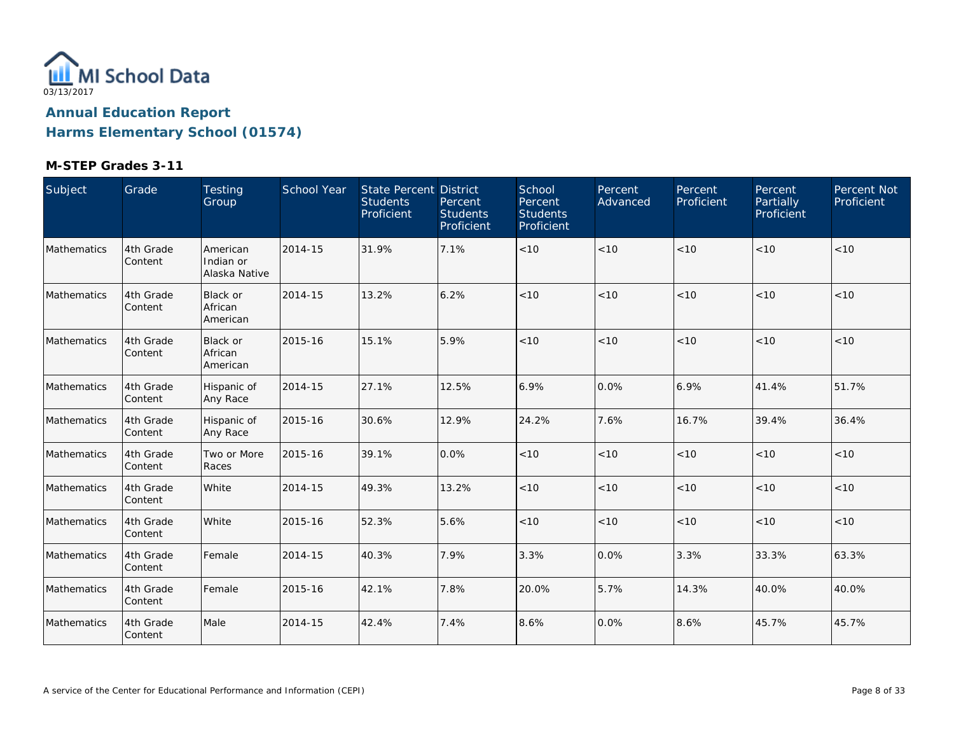

| Subject     | Grade                | Testing<br>Group                       | School Year | <b>State Percent District</b><br><b>Students</b><br>Proficient | Percent<br><b>Students</b><br>Proficient | School<br>Percent<br><b>Students</b><br>Proficient | Percent<br>Advanced | Percent<br>Proficient | Percent<br>Partially<br>Proficient | Percent Not<br>Proficient |
|-------------|----------------------|----------------------------------------|-------------|----------------------------------------------------------------|------------------------------------------|----------------------------------------------------|---------------------|-----------------------|------------------------------------|---------------------------|
| Mathematics | 4th Grade<br>Content | American<br>Indian or<br>Alaska Native | 2014-15     | 31.9%                                                          | 7.1%                                     | $<10$                                              | < 10                | < 10                  | < 10                               | $<10$                     |
| Mathematics | 4th Grade<br>Content | Black or<br>African<br>American        | 2014-15     | 13.2%                                                          | 6.2%                                     | < 10                                               | < 10                | < 10                  | < 10                               | < 10                      |
| Mathematics | 4th Grade<br>Content | Black or<br>African<br>American        | 2015-16     | 15.1%                                                          | 5.9%                                     | < 10                                               | < 10                | < 10                  | < 10                               | $<10$                     |
| Mathematics | 4th Grade<br>Content | Hispanic of<br>Any Race                | 2014-15     | 27.1%                                                          | 12.5%                                    | 6.9%                                               | 0.0%                | 6.9%                  | 41.4%                              | 51.7%                     |
| Mathematics | 4th Grade<br>Content | Hispanic of<br>Any Race                | 2015-16     | 30.6%                                                          | 12.9%                                    | 24.2%                                              | 7.6%                | 16.7%                 | 39.4%                              | 36.4%                     |
| Mathematics | 4th Grade<br>Content | Two or More<br>Races                   | 2015-16     | 39.1%                                                          | 0.0%                                     | < 10                                               | < 10                | < 10                  | < 10                               | < 10                      |
| Mathematics | 4th Grade<br>Content | White                                  | 2014-15     | 49.3%                                                          | 13.2%                                    | < 10                                               | < 10                | < 10                  | < 10                               | < 10                      |
| Mathematics | 4th Grade<br>Content | White                                  | 2015-16     | 52.3%                                                          | 5.6%                                     | < 10                                               | < 10                | < 10                  | < 10                               | < 10                      |
| Mathematics | 4th Grade<br>Content | Female                                 | 2014-15     | 40.3%                                                          | 7.9%                                     | 3.3%                                               | 0.0%                | 3.3%                  | 33.3%                              | 63.3%                     |
| Mathematics | 4th Grade<br>Content | Female                                 | 2015-16     | 42.1%                                                          | 7.8%                                     | 20.0%                                              | 5.7%                | 14.3%                 | 40.0%                              | 40.0%                     |
| Mathematics | 4th Grade<br>Content | Male                                   | 2014-15     | 42.4%                                                          | 7.4%                                     | 8.6%                                               | 0.0%                | 8.6%                  | 45.7%                              | 45.7%                     |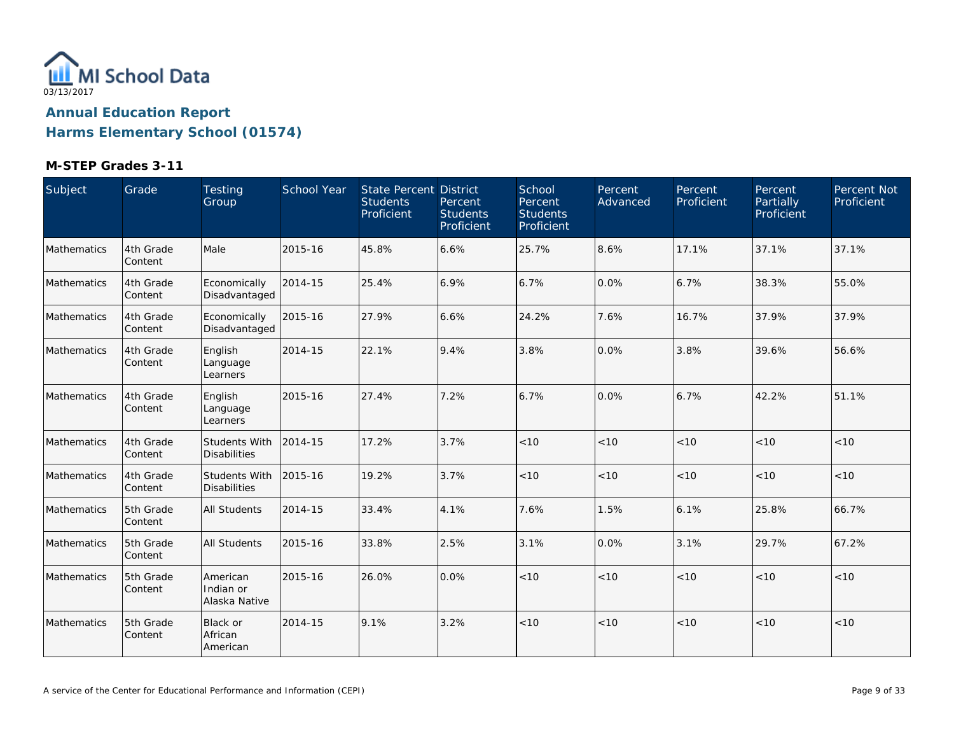

| Subject            | Grade                 | Testing<br>Group                       | <b>School Year</b> | State Percent District<br><b>Students</b><br>Proficient | Percent<br><b>Students</b><br>Proficient | School<br>Percent<br><b>Students</b><br>Proficient | Percent<br>Advanced | Percent<br>Proficient | Percent<br>Partially<br>Proficient | Percent Not<br>Proficient |
|--------------------|-----------------------|----------------------------------------|--------------------|---------------------------------------------------------|------------------------------------------|----------------------------------------------------|---------------------|-----------------------|------------------------------------|---------------------------|
| Mathematics        | 4th Grade<br>Content  | Male                                   | 2015-16            | 45.8%                                                   | 6.6%                                     | 25.7%                                              | 8.6%                | 17.1%                 | 37.1%                              | 37.1%                     |
| Mathematics        | 4th Grade<br>Content  | Economically<br>Disadvantaged          | 2014-15            | 25.4%                                                   | 6.9%                                     | 6.7%                                               | 0.0%                | 6.7%                  | 38.3%                              | 55.0%                     |
| Mathematics        | 4th Grade<br> Content | Economically<br>Disadvantaged          | 2015-16            | 27.9%                                                   | 6.6%                                     | 24.2%                                              | 7.6%                | 16.7%                 | 37.9%                              | 37.9%                     |
| Mathematics        | 4th Grade<br>Content  | English<br>Language<br>Learners        | 2014-15            | 22.1%                                                   | 9.4%                                     | 3.8%                                               | 0.0%                | 3.8%                  | 39.6%                              | 56.6%                     |
| Mathematics        | 4th Grade<br>Content  | English<br>Language<br>Learners        | 2015-16            | 27.4%                                                   | 7.2%                                     | 6.7%                                               | 0.0%                | 6.7%                  | 42.2%                              | 51.1%                     |
| Mathematics        | 4th Grade<br>Content  | Students With<br><b>Disabilities</b>   | 2014-15            | 17.2%                                                   | 3.7%                                     | < 10                                               | < 10                | < 10                  | < 10                               | < 10                      |
| Mathematics        | 4th Grade<br> Content | Students With<br><b>Disabilities</b>   | 2015-16            | 19.2%                                                   | 3.7%                                     | < 10                                               | < 10                | < 10                  | < 10                               | < 10                      |
| Mathematics        | 5th Grade<br> Content | All Students                           | 2014-15            | 33.4%                                                   | 4.1%                                     | 7.6%                                               | 1.5%                | 6.1%                  | 25.8%                              | 66.7%                     |
| <b>Mathematics</b> | 5th Grade<br>Content  | <b>All Students</b>                    | 2015-16            | 33.8%                                                   | 2.5%                                     | 3.1%                                               | 0.0%                | 3.1%                  | 29.7%                              | 67.2%                     |
| Mathematics        | 5th Grade<br>Content  | American<br>Indian or<br>Alaska Native | 2015-16            | 26.0%                                                   | 0.0%                                     | < 10                                               | < 10                | < 10                  | < 10                               | < 10                      |
| <b>Mathematics</b> | 5th Grade<br>Content  | Black or<br>African<br>American        | 2014-15            | 9.1%                                                    | 3.2%                                     | < 10                                               | < 10                | < 10                  | < 10                               | < 10                      |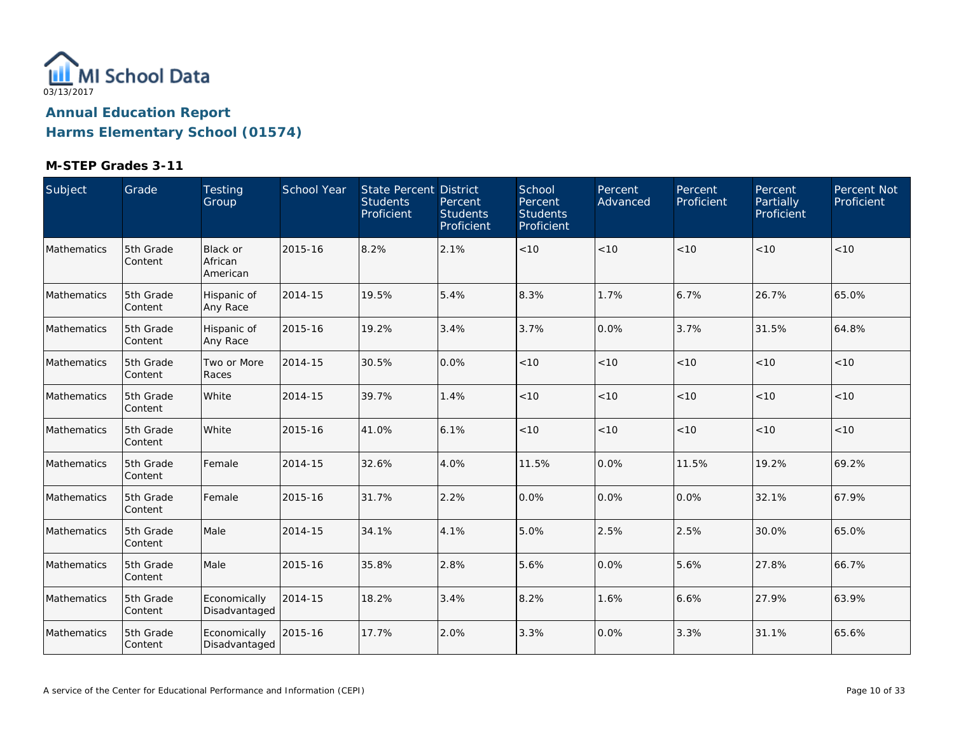

| Subject     | Grade                | Testing<br>Group                       | <b>School Year</b> | State Percent District<br><b>Students</b><br>Proficient | Percent<br><b>Students</b><br>Proficient | School<br>Percent<br><b>Students</b><br>Proficient | Percent<br>Advanced | Percent<br>Proficient | Percent<br>Partially<br>Proficient | Percent Not<br>Proficient |
|-------------|----------------------|----------------------------------------|--------------------|---------------------------------------------------------|------------------------------------------|----------------------------------------------------|---------------------|-----------------------|------------------------------------|---------------------------|
| Mathematics | 5th Grade<br>Content | <b>Black or</b><br>African<br>American | 2015-16            | 8.2%                                                    | 2.1%                                     | < 10                                               | < 10                | < 10                  | < 10                               | <10                       |
| Mathematics | 5th Grade<br>Content | Hispanic of<br>Any Race                | 2014-15            | 19.5%                                                   | 5.4%                                     | 8.3%                                               | 1.7%                | 6.7%                  | 26.7%                              | 65.0%                     |
| Mathematics | 5th Grade<br>Content | Hispanic of<br>Any Race                | 2015-16            | 19.2%                                                   | 3.4%                                     | 3.7%                                               | 0.0%                | 3.7%                  | 31.5%                              | 64.8%                     |
| Mathematics | 5th Grade<br>Content | Two or More<br>Races                   | 2014-15            | 30.5%                                                   | 0.0%                                     | < 10                                               | < 10                | < 10                  | < 10                               | <10                       |
| Mathematics | 5th Grade<br>Content | White                                  | 2014-15            | 39.7%                                                   | 1.4%                                     | $<10$                                              | < 10                | < 10                  | < 10                               | < 10                      |
| Mathematics | 5th Grade<br>Content | White                                  | 2015-16            | 41.0%                                                   | 6.1%                                     | $<10$                                              | $<10$               | < 10                  | < 10                               | $<10$                     |
| Mathematics | 5th Grade<br>Content | Female                                 | 2014-15            | 32.6%                                                   | 4.0%                                     | 11.5%                                              | 0.0%                | 11.5%                 | 19.2%                              | 69.2%                     |
| Mathematics | 5th Grade<br>Content | Female                                 | 2015-16            | 31.7%                                                   | 2.2%                                     | 0.0%                                               | 0.0%                | 0.0%                  | 32.1%                              | 67.9%                     |
| Mathematics | 5th Grade<br>Content | Male                                   | 2014-15            | 34.1%                                                   | 4.1%                                     | 5.0%                                               | 2.5%                | 2.5%                  | 30.0%                              | 65.0%                     |
| Mathematics | 5th Grade<br>Content | Male                                   | 2015-16            | 35.8%                                                   | 2.8%                                     | 5.6%                                               | 0.0%                | 5.6%                  | 27.8%                              | 66.7%                     |
| Mathematics | 5th Grade<br>Content | Economically<br>Disadvantaged          | 2014-15            | 18.2%                                                   | 3.4%                                     | 8.2%                                               | 1.6%                | 6.6%                  | 27.9%                              | 63.9%                     |
| Mathematics | 5th Grade<br>Content | Economically<br>Disadvantaged          | 2015-16            | 17.7%                                                   | 2.0%                                     | 3.3%                                               | 0.0%                | 3.3%                  | 31.1%                              | 65.6%                     |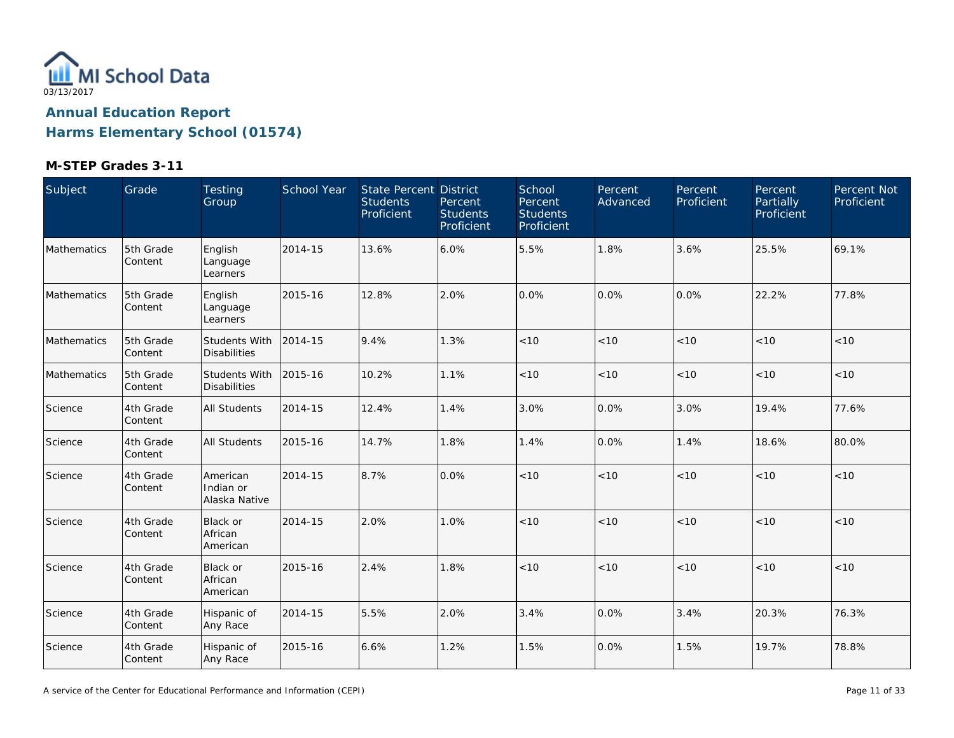

| Subject     | Grade                | Testing<br>Group                            | School Year | <b>State Percent District</b><br><b>Students</b><br>Proficient | Percent<br><b>Students</b><br>Proficient | School<br>Percent<br><b>Students</b><br>Proficient | Percent<br>Advanced | Percent<br>Proficient | Percent<br>Partially<br>Proficient | Percent Not<br>Proficient |
|-------------|----------------------|---------------------------------------------|-------------|----------------------------------------------------------------|------------------------------------------|----------------------------------------------------|---------------------|-----------------------|------------------------------------|---------------------------|
| Mathematics | 5th Grade<br>Content | English<br>Language<br>Learners             | 2014-15     | 13.6%                                                          | 6.0%                                     | 5.5%                                               | 1.8%                | 3.6%                  | 25.5%                              | 69.1%                     |
| Mathematics | 5th Grade<br>Content | English<br>Language<br>Learners             | 2015-16     | 12.8%                                                          | 2.0%                                     | 0.0%                                               | 0.0%                | 0.0%                  | 22.2%                              | 77.8%                     |
| Mathematics | 5th Grade<br>Content | <b>Students With</b><br><b>Disabilities</b> | 2014-15     | 9.4%                                                           | 1.3%                                     | < 10                                               | < 10                | < 10                  | < 10                               | $<10$                     |
| Mathematics | 5th Grade<br>Content | <b>Students With</b><br><b>Disabilities</b> | 2015-16     | 10.2%                                                          | 1.1%                                     | < 10                                               | < 10                | < 10                  | < 10                               | < 10                      |
| Science     | 4th Grade<br>Content | <b>All Students</b>                         | 2014-15     | 12.4%                                                          | 1.4%                                     | 3.0%                                               | 0.0%                | 3.0%                  | 19.4%                              | 77.6%                     |
| Science     | 4th Grade<br>Content | <b>All Students</b>                         | 2015-16     | 14.7%                                                          | 1.8%                                     | 1.4%                                               | 0.0%                | 1.4%                  | 18.6%                              | 80.0%                     |
| Science     | 4th Grade<br>Content | American<br>Indian or<br>Alaska Native      | 2014-15     | 8.7%                                                           | 0.0%                                     | < 10                                               | < 10                | < 10                  | < 10                               | < 10                      |
| Science     | 4th Grade<br>Content | Black or<br>African<br>American             | 2014-15     | 2.0%                                                           | 1.0%                                     | < 10                                               | < 10                | < 10                  | < 10                               | < 10                      |
| Science     | 4th Grade<br>Content | Black or<br>African<br>American             | 2015-16     | 2.4%                                                           | 1.8%                                     | < 10                                               | < 10                | < 10                  | < 10                               | < 10                      |
| Science     | 4th Grade<br>Content | Hispanic of<br>Any Race                     | 2014-15     | 5.5%                                                           | 2.0%                                     | 3.4%                                               | 0.0%                | 3.4%                  | 20.3%                              | 76.3%                     |
| Science     | 4th Grade<br>Content | Hispanic of<br>Any Race                     | 2015-16     | 6.6%                                                           | 1.2%                                     | 1.5%                                               | 0.0%                | 1.5%                  | 19.7%                              | 78.8%                     |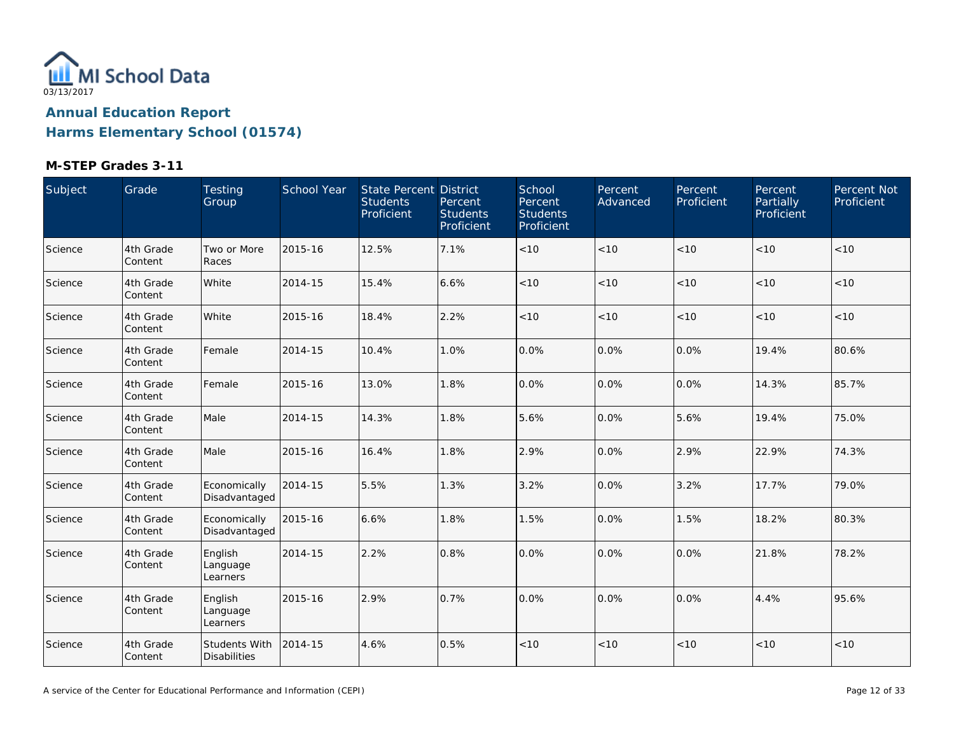

| Subject | Grade                | Testing<br>Group                     | School Year | State Percent District<br><b>Students</b><br>Proficient | Percent<br><b>Students</b><br>Proficient | School<br>Percent<br><b>Students</b><br>Proficient | Percent<br>Advanced | Percent<br>Proficient | Percent,<br>Partially<br>Proficient | Percent Not<br>Proficient |
|---------|----------------------|--------------------------------------|-------------|---------------------------------------------------------|------------------------------------------|----------------------------------------------------|---------------------|-----------------------|-------------------------------------|---------------------------|
| Science | 4th Grade<br>Content | Two or More<br>Races                 | 2015-16     | 12.5%                                                   | 7.1%                                     | $<10$                                              | < 10                | < 10                  | < 10                                | < 10                      |
| Science | 4th Grade<br>Content | White                                | 2014-15     | 15.4%                                                   | 6.6%                                     | < 10                                               | < 10                | < 10                  | < 10                                | < 10                      |
| Science | 4th Grade<br>Content | White                                | 2015-16     | 18.4%                                                   | 2.2%                                     | < 10                                               | < 10                | < 10                  | < 10                                | < 10                      |
| Science | 4th Grade<br>Content | Female                               | 2014-15     | 10.4%                                                   | 1.0%                                     | 0.0%                                               | 0.0%                | 0.0%                  | 19.4%                               | 80.6%                     |
| Science | 4th Grade<br>Content | Female                               | 2015-16     | 13.0%                                                   | 1.8%                                     | 0.0%                                               | 0.0%                | 0.0%                  | 14.3%                               | 85.7%                     |
| Science | 4th Grade<br>Content | Male                                 | 2014-15     | 14.3%                                                   | 1.8%                                     | 5.6%                                               | 0.0%                | 5.6%                  | 19.4%                               | 75.0%                     |
| Science | 4th Grade<br>Content | Male                                 | 2015-16     | 16.4%                                                   | 1.8%                                     | 2.9%                                               | 0.0%                | 2.9%                  | 22.9%                               | 74.3%                     |
| Science | 4th Grade<br>Content | Economically<br>Disadvantaged        | 2014-15     | 5.5%                                                    | 1.3%                                     | 3.2%                                               | 0.0%                | 3.2%                  | 17.7%                               | 79.0%                     |
| Science | 4th Grade<br>Content | Economically<br>Disadvantaged        | 2015-16     | 6.6%                                                    | 1.8%                                     | 1.5%                                               | 0.0%                | 1.5%                  | 18.2%                               | 80.3%                     |
| Science | 4th Grade<br>Content | English<br>Language<br>Learners      | 2014-15     | 2.2%                                                    | 0.8%                                     | 0.0%                                               | 0.0%                | 0.0%                  | 21.8%                               | 78.2%                     |
| Science | 4th Grade<br>Content | English<br>Language<br>Learners      | 2015-16     | 2.9%                                                    | 0.7%                                     | 0.0%                                               | 0.0%                | 0.0%                  | 4.4%                                | 95.6%                     |
| Science | 4th Grade<br>Content | Students With<br><b>Disabilities</b> | 2014-15     | 4.6%                                                    | 0.5%                                     | < 10                                               | $<10$               | < 10                  | < 10                                | < 10                      |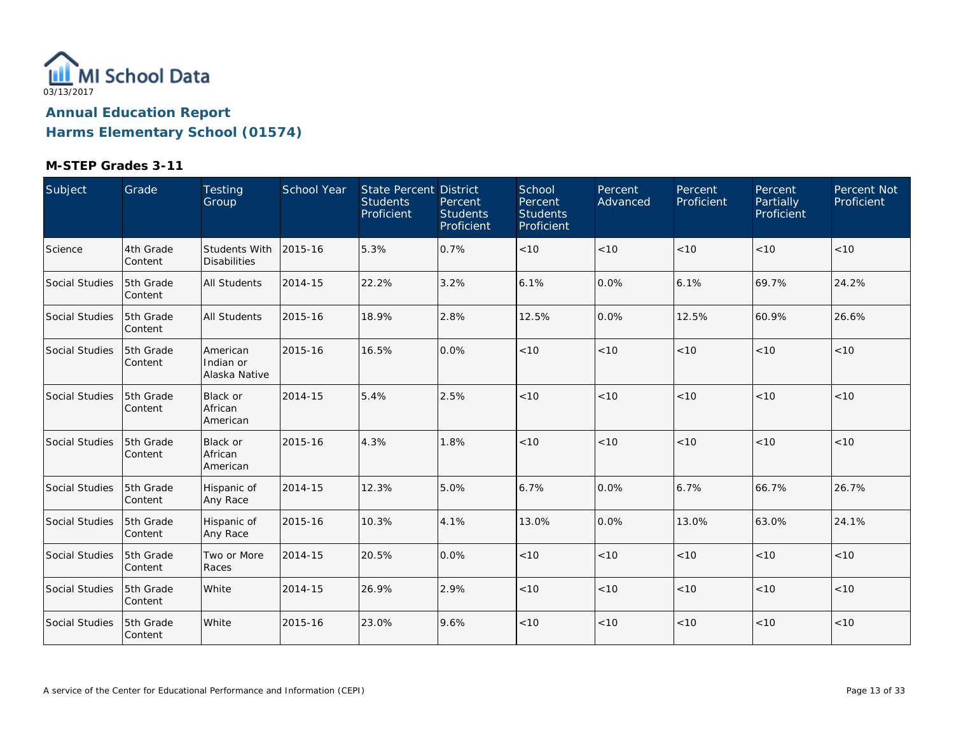

| Subject        | Grade                | <b>Testing</b><br>Group                     | School Year | State Percent District<br><b>Students</b><br>Proficient | Percent<br><b>Students</b><br>Proficient | School<br>Percent<br><b>Students</b><br>Proficient | Percent<br>Advanced | <b>Percent</b><br>Proficient | Percent<br>Partially<br>Proficient | Percent Not<br>Proficient |
|----------------|----------------------|---------------------------------------------|-------------|---------------------------------------------------------|------------------------------------------|----------------------------------------------------|---------------------|------------------------------|------------------------------------|---------------------------|
| Science        | 4th Grade<br>Content | <b>Students With</b><br><b>Disabilities</b> | 2015-16     | 5.3%                                                    | 0.7%                                     | < 10                                               | < 10                | < 10                         | < 10                               | < 10                      |
| Social Studies | 5th Grade<br>Content | All Students                                | 2014-15     | 22.2%                                                   | 3.2%                                     | 6.1%                                               | 0.0%                | 6.1%                         | 69.7%                              | 24.2%                     |
| Social Studies | 5th Grade<br>Content | All Students                                | 2015-16     | 18.9%                                                   | 2.8%                                     | 12.5%                                              | 0.0%                | 12.5%                        | 60.9%                              | 26.6%                     |
| Social Studies | 5th Grade<br>Content | American<br>Indian or<br>Alaska Native      | 2015-16     | 16.5%                                                   | 0.0%                                     | < 10                                               | < 10                | < 10                         | < 10                               | < 10                      |
| Social Studies | 5th Grade<br>Content | Black or<br>African<br>American             | 2014-15     | 5.4%                                                    | 2.5%                                     | < 10                                               | < 10                | < 10                         | < 10                               | $<10$                     |
| Social Studies | 5th Grade<br>Content | Black or<br>African<br>American             | 2015-16     | 4.3%                                                    | 1.8%                                     | < 10                                               | < 10                | < 10                         | < 10                               | < 10                      |
| Social Studies | 5th Grade<br>Content | Hispanic of<br>Any Race                     | 2014-15     | 12.3%                                                   | 5.0%                                     | 6.7%                                               | 0.0%                | 6.7%                         | 66.7%                              | 26.7%                     |
| Social Studies | 5th Grade<br>Content | Hispanic of<br>Any Race                     | 2015-16     | 10.3%                                                   | 4.1%                                     | 13.0%                                              | 0.0%                | 13.0%                        | 63.0%                              | 24.1%                     |
| Social Studies | 5th Grade<br>Content | Two or More<br>Races                        | 2014-15     | 20.5%                                                   | 0.0%                                     | $<10$                                              | < 10                | < 10                         | < 10                               | $<10$                     |
| Social Studies | 5th Grade<br>Content | White                                       | 2014-15     | 26.9%                                                   | 2.9%                                     | < 10                                               | < 10                | < 10                         | < 10                               | < 10                      |
| Social Studies | 5th Grade<br>Content | White                                       | 2015-16     | 23.0%                                                   | 9.6%                                     | < 10                                               | < 10                | < 10                         | < 10                               | < 10                      |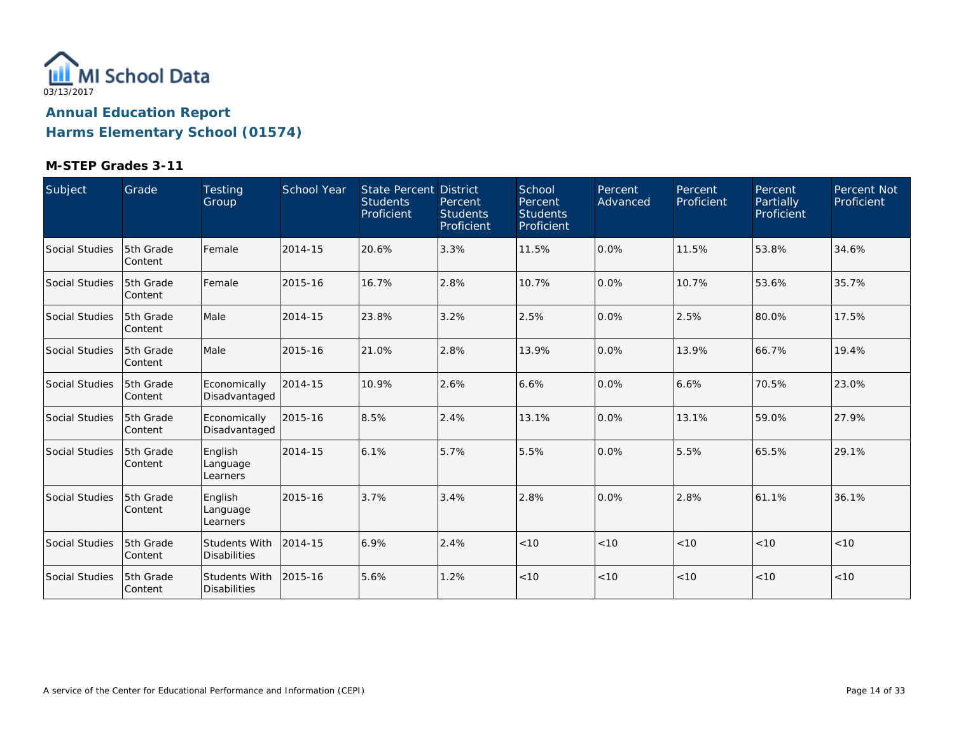

| Subject        | Grade                 | Testing<br>Group                            | <b>School Year</b> | State Percent District<br><b>Students</b><br>Proficient | Percent<br><b>Students</b><br>Proficient | School<br>Percent<br><b>Students</b><br>Proficient | Percent<br>Advanced | Percent<br>Proficient | Percent<br>Partially<br>Proficient | Percent Not<br>Proficient |
|----------------|-----------------------|---------------------------------------------|--------------------|---------------------------------------------------------|------------------------------------------|----------------------------------------------------|---------------------|-----------------------|------------------------------------|---------------------------|
| Social Studies | 5th Grade<br> Content | Female                                      | 2014-15            | 20.6%                                                   | 3.3%                                     | 11.5%                                              | 0.0%                | 11.5%                 | 53.8%                              | 34.6%                     |
| Social Studies | 5th Grade<br>Content  | Female                                      | 2015-16            | 16.7%                                                   | 2.8%                                     | 10.7%                                              | 0.0%                | 10.7%                 | 53.6%                              | 35.7%                     |
| Social Studies | 5th Grade<br> Content | Male                                        | 2014-15            | 23.8%                                                   | 3.2%                                     | 2.5%                                               | 0.0%                | 2.5%                  | 80.0%                              | 17.5%                     |
| Social Studies | 5th Grade<br> Content | Male                                        | 2015-16            | 21.0%                                                   | 2.8%                                     | 13.9%                                              | 0.0%                | 13.9%                 | 66.7%                              | 19.4%                     |
| Social Studies | 5th Grade<br> Content | Economically<br>Disadvantaged               | 2014-15            | 10.9%                                                   | 2.6%                                     | 6.6%                                               | 0.0%                | 6.6%                  | 70.5%                              | 23.0%                     |
| Social Studies | 5th Grade<br> Content | Economically<br>Disadvantaged               | 2015-16            | 8.5%                                                    | 2.4%                                     | 13.1%                                              | 0.0%                | 13.1%                 | 59.0%                              | 27.9%                     |
| Social Studies | 5th Grade<br>Content  | English<br>Language<br>Learners             | 2014-15            | 6.1%                                                    | 5.7%                                     | 5.5%                                               | 0.0%                | 5.5%                  | 65.5%                              | 29.1%                     |
| Social Studies | 5th Grade<br>Content  | English<br>Language<br>Learners             | 2015-16            | 3.7%                                                    | 3.4%                                     | 2.8%                                               | 0.0%                | 2.8%                  | 61.1%                              | 36.1%                     |
| Social Studies | 5th Grade<br>Content  | <b>Students With</b><br><b>Disabilities</b> | 2014-15            | 6.9%                                                    | 2.4%                                     | < 10                                               | < 10                | < 10                  | < 10                               | < 10                      |
| Social Studies | 5th Grade<br>Content  | <b>Students With</b><br><b>Disabilities</b> | 2015-16            | 5.6%                                                    | 1.2%                                     | < 10                                               | < 10                | < 10                  | < 10                               | < 10                      |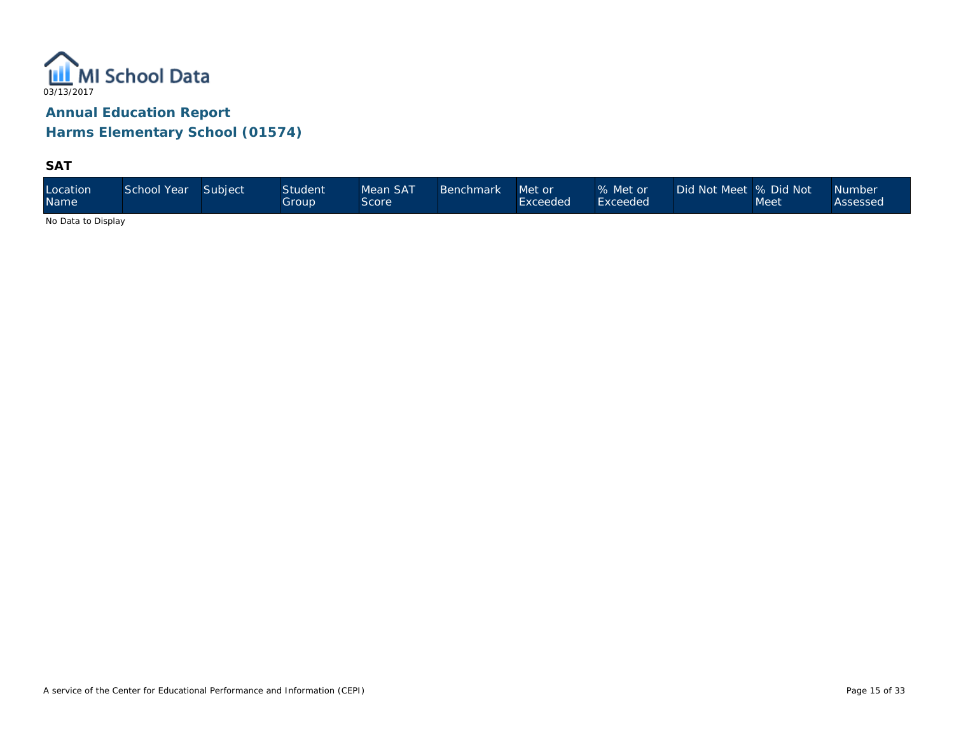

**SAT**

| Location<br><b>Name</b> | School Year | Subject | <b>Student</b><br>Group | Mean SAT<br>Score | <b>Benchmark</b> | Met or<br>Exceeded | % Met or<br>Exceeded <sup>1</sup> | Did Not Meet 9% Did Not \ | Meet | <b>Number</b><br>Assessed |
|-------------------------|-------------|---------|-------------------------|-------------------|------------------|--------------------|-----------------------------------|---------------------------|------|---------------------------|
|-------------------------|-------------|---------|-------------------------|-------------------|------------------|--------------------|-----------------------------------|---------------------------|------|---------------------------|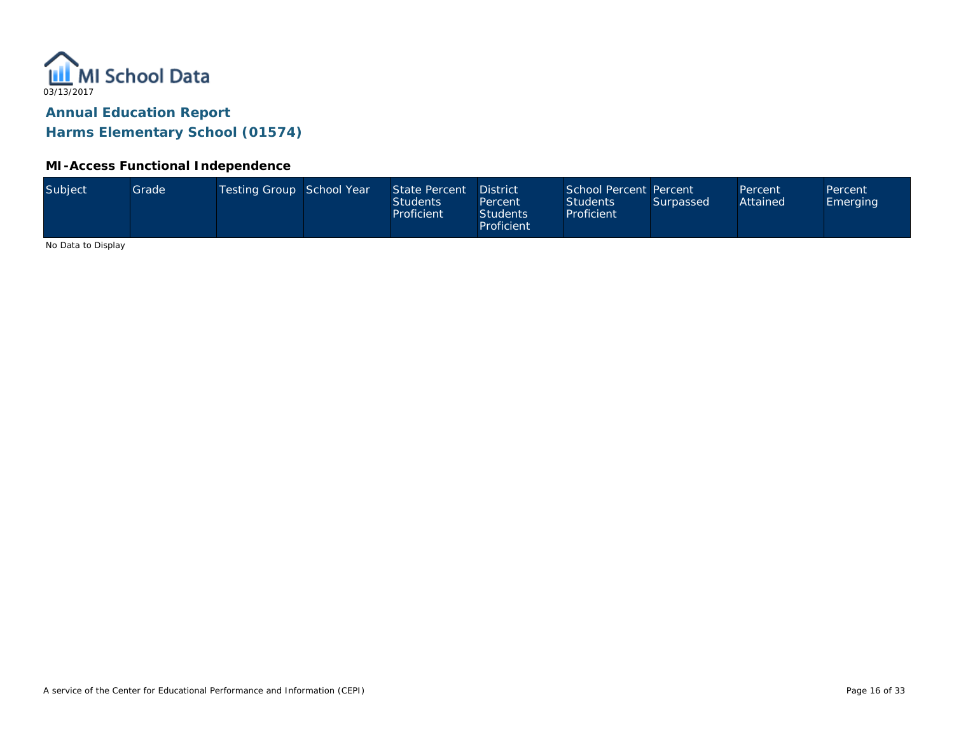

#### **MI-Access Functional Independence**

| Subject<br>Testing Group School Year<br>School Percent Percent<br>State Percent<br>Grade<br><b>District</b><br>Percent<br>Percent<br>Attained<br><b>Students</b><br><b>Students</b><br>Surpassed<br><b>Emerging</b><br>Percent<br>Proficient<br><b>Students</b><br>Proficient<br>Proficient |  |
|---------------------------------------------------------------------------------------------------------------------------------------------------------------------------------------------------------------------------------------------------------------------------------------------|--|
|---------------------------------------------------------------------------------------------------------------------------------------------------------------------------------------------------------------------------------------------------------------------------------------------|--|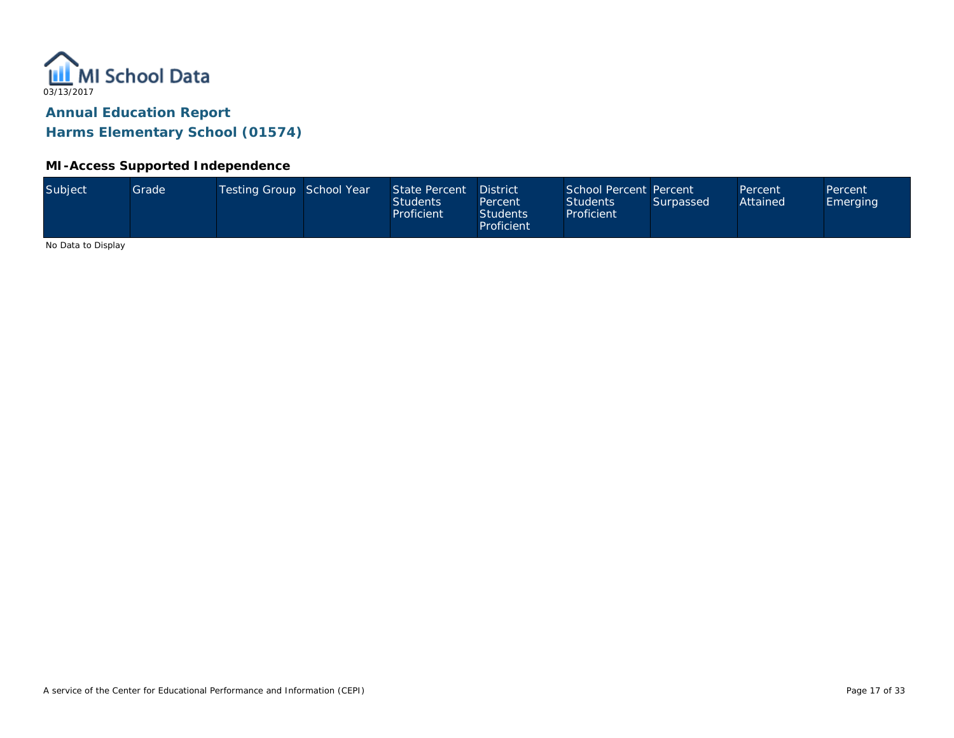

#### **MI-Access Supported Independence**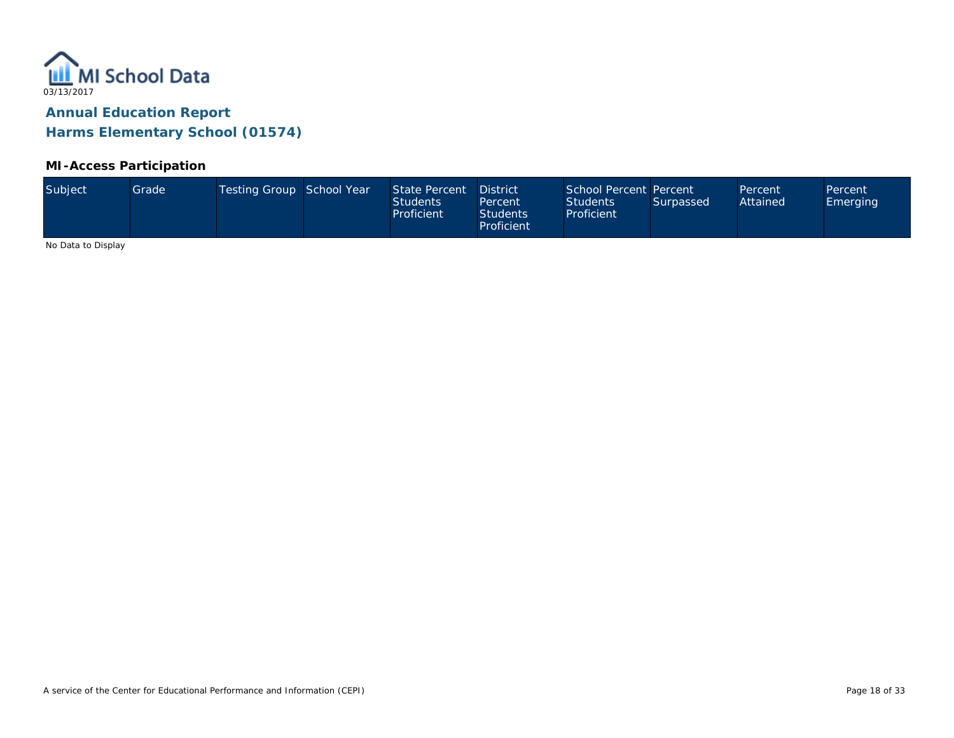

### **MI-Access Participation**

| Subject<br>Testing Group School Year<br>School Percent Percent<br>State Percent<br>Grade<br><b>District</b><br>Percent<br>Percent<br>Attained<br><b>Students</b><br><b>Students</b><br>Surpassed<br><b>Emerging</b><br>Percent<br>Proficient<br><b>Students</b><br>Proficient<br>Proficient |  |
|---------------------------------------------------------------------------------------------------------------------------------------------------------------------------------------------------------------------------------------------------------------------------------------------|--|
|---------------------------------------------------------------------------------------------------------------------------------------------------------------------------------------------------------------------------------------------------------------------------------------------|--|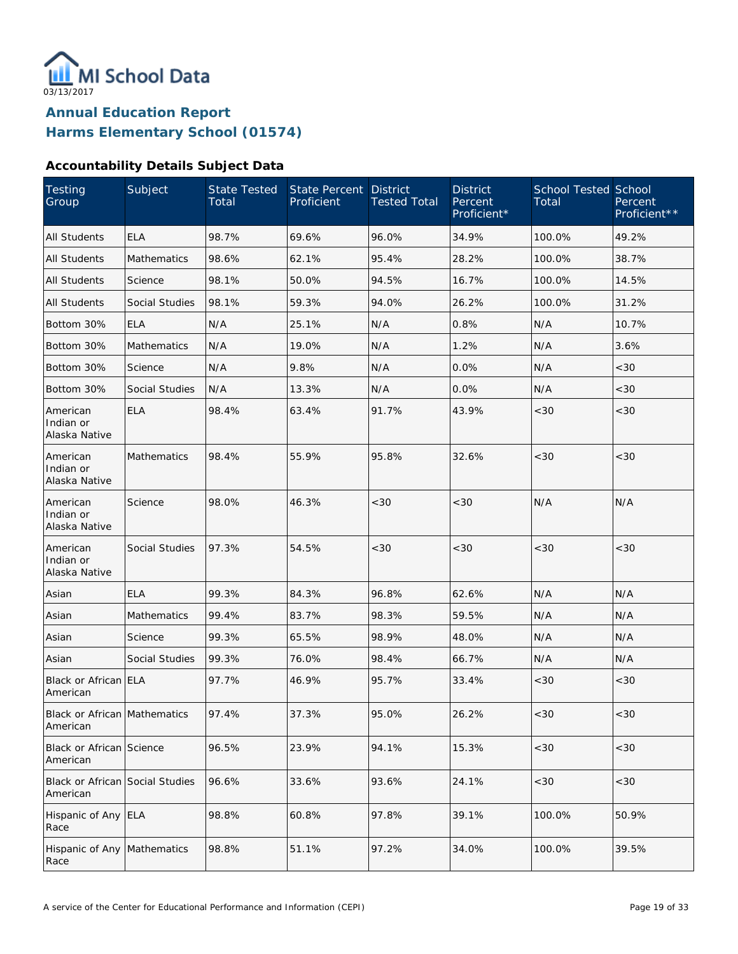

### **Accountability Details Subject Data**

| Testing<br>Group                            | Subject               | <b>State Tested</b><br>Total | State Percent<br>Proficient | <b>District</b><br><b>Tested Total</b> | <b>District</b><br>Percent<br>Proficient* | <b>School Tested School</b><br>Total | Percent<br>Proficient** |
|---------------------------------------------|-----------------------|------------------------------|-----------------------------|----------------------------------------|-------------------------------------------|--------------------------------------|-------------------------|
| <b>All Students</b>                         | <b>ELA</b>            | 98.7%                        | 69.6%                       | 96.0%                                  | 34.9%                                     | 100.0%                               | 49.2%                   |
| <b>All Students</b>                         | Mathematics           | 98.6%                        | 62.1%                       | 95.4%                                  | 28.2%                                     | 100.0%                               | 38.7%                   |
| <b>All Students</b>                         | Science               | 98.1%                        | 50.0%                       | 94.5%                                  | 16.7%                                     | 100.0%                               | 14.5%                   |
| <b>All Students</b>                         | Social Studies        | 98.1%                        | 59.3%                       | 94.0%                                  | 26.2%                                     | 100.0%                               | 31.2%                   |
| Bottom 30%                                  | <b>ELA</b>            | N/A                          | 25.1%                       | N/A                                    | 0.8%                                      | N/A                                  | 10.7%                   |
| Bottom 30%                                  | Mathematics           | N/A                          | 19.0%                       | N/A                                    | 1.2%                                      | N/A                                  | 3.6%                    |
| Bottom 30%                                  | Science               | N/A                          | 9.8%                        | N/A                                    | 0.0%                                      | N/A                                  | <30                     |
| Bottom 30%                                  | Social Studies        | N/A                          | 13.3%                       | N/A                                    | 0.0%                                      | N/A                                  | <30                     |
| American<br>Indian or<br>Alaska Native      | <b>ELA</b>            | 98.4%                        | 63.4%                       | 91.7%                                  | 43.9%                                     | <30                                  | <30                     |
| American<br>Indian or<br>Alaska Native      | <b>Mathematics</b>    | 98.4%                        | 55.9%                       | 95.8%                                  | 32.6%                                     | < 30                                 | <30                     |
| American<br>Indian or<br>Alaska Native      | Science               | 98.0%                        | 46.3%                       | < 30                                   | < 30                                      | N/A                                  | N/A                     |
| American<br>Indian or<br>Alaska Native      | Social Studies        | 97.3%                        | 54.5%                       | <30                                    | <30                                       | < 30                                 | <30                     |
| Asian                                       | <b>ELA</b>            | 99.3%                        | 84.3%                       | 96.8%                                  | 62.6%                                     | N/A                                  | N/A                     |
| Asian                                       | <b>Mathematics</b>    | 99.4%                        | 83.7%                       | 98.3%                                  | 59.5%                                     | N/A                                  | N/A                     |
| Asian                                       | Science               | 99.3%                        | 65.5%                       | 98.9%                                  | 48.0%                                     | N/A                                  | N/A                     |
| Asian                                       | <b>Social Studies</b> | 99.3%                        | 76.0%                       | 98.4%                                  | 66.7%                                     | N/A                                  | N/A                     |
| Black or African ELA<br>American            |                       | 97.7%                        | 46.9%                       | 95.7%                                  | 33.4%                                     | <30                                  | <30                     |
| Black or African Mathematics<br>American    |                       | 97.4%                        | 37.3%                       | 95.0%                                  | 26.2%                                     | <30                                  | $<30$                   |
| Black or African Science<br>American        |                       | 96.5%                        | 23.9%                       | 94.1%                                  | 15.3%                                     | <30                                  | $<30\,$                 |
| Black or African Social Studies<br>American |                       | 96.6%                        | 33.6%                       | 93.6%                                  | 24.1%                                     | $<30$                                | $<30\,$                 |
| Hispanic of Any ELA<br>Race                 |                       | 98.8%                        | 60.8%                       | 97.8%                                  | 39.1%                                     | 100.0%                               | 50.9%                   |
| Hispanic of Any Mathematics<br>Race         |                       | 98.8%                        | 51.1%                       | 97.2%                                  | 34.0%                                     | 100.0%                               | 39.5%                   |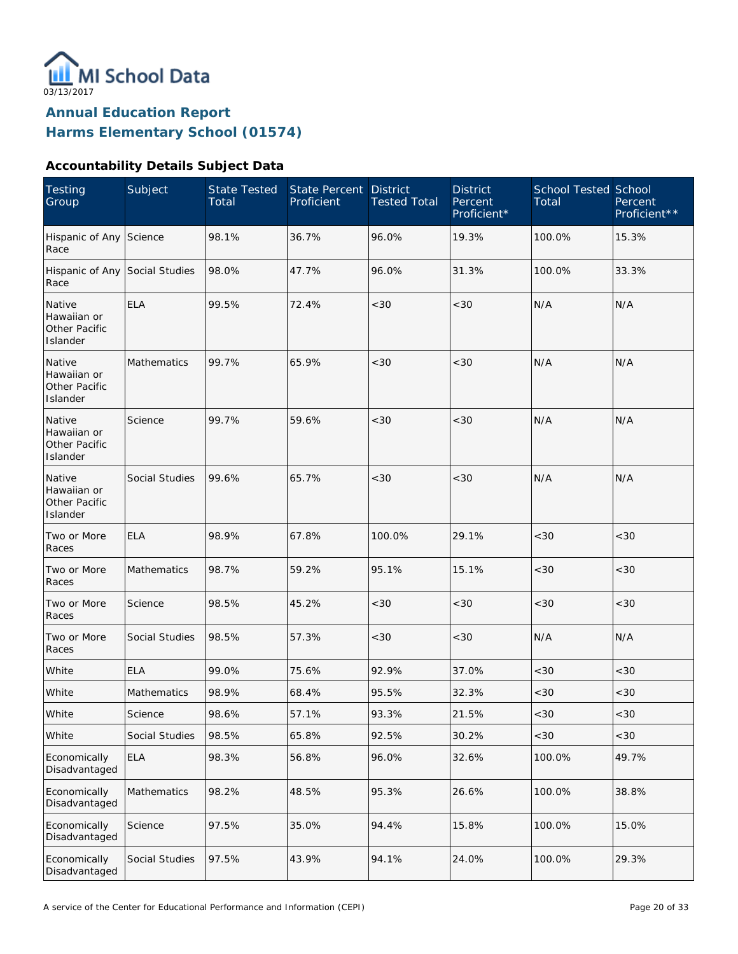

### **Accountability Details Subject Data**

| <b>Testing</b><br>Group                            | Subject<br><b>State Tested</b><br>Total<br>Proficient |       | State Percent | <b>District</b><br><b>Tested Total</b> | <b>District</b><br>Percent<br>Proficient* | <b>School Tested School</b><br>Total | Percent<br>Proficient** |
|----------------------------------------------------|-------------------------------------------------------|-------|---------------|----------------------------------------|-------------------------------------------|--------------------------------------|-------------------------|
| Hispanic of Any Science<br>Race                    |                                                       | 98.1% | 36.7%         | 96.0%                                  | 19.3%                                     | 100.0%                               | 15.3%                   |
| Hispanic of Any Social Studies<br>Race             |                                                       | 98.0% | 47.7%         | 96.0%                                  | 31.3%                                     | 100.0%                               | 33.3%                   |
| Native<br>Hawaiian or<br>Other Pacific<br>Islander | <b>ELA</b>                                            | 99.5% | 72.4%         | <30                                    | < 30                                      | N/A                                  | N/A                     |
| Native<br>Hawaiian or<br>Other Pacific<br>Islander | Mathematics                                           | 99.7% | 65.9%         | < 30                                   | < 30                                      | N/A                                  | N/A                     |
| Native<br>Hawaiian or<br>Other Pacific<br>Islander | Science                                               | 99.7% | 59.6%         | <30                                    | < 30                                      | N/A                                  | N/A                     |
| Native<br>Hawaiian or<br>Other Pacific<br>Islander | Social Studies                                        | 99.6% | 65.7%         | <30                                    | < 30                                      | N/A                                  | N/A                     |
| Two or More<br>Races                               | <b>ELA</b>                                            | 98.9% | 67.8%         | 100.0%                                 | 29.1%                                     | <30                                  | <30                     |
| Two or More<br>Races                               | Mathematics                                           | 98.7% | 59.2%         | 95.1%                                  | 15.1%                                     | <30                                  | <30                     |
| Two or More<br>Races                               | Science                                               | 98.5% | 45.2%         | <30                                    | < 30                                      | <30                                  | <30                     |
| Two or More<br>Races                               | Social Studies                                        | 98.5% | 57.3%         | <30                                    | < 30                                      | N/A                                  | N/A                     |
| White                                              | <b>ELA</b>                                            | 99.0% | 75.6%         | 92.9%                                  | 37.0%                                     | <30                                  | <30                     |
| White                                              | Mathematics                                           | 98.9% | 68.4%         | 95.5%                                  | 32.3%                                     | <30                                  | $<30$                   |
| White                                              | Science                                               | 98.6% | 57.1%         | 93.3%                                  | 21.5%                                     | <30                                  | <30                     |
| White                                              | Social Studies                                        | 98.5% | 65.8%         | 92.5%                                  | 30.2%                                     | <30                                  | <30                     |
| Economically<br>Disadvantaged                      | <b>ELA</b>                                            | 98.3% | 56.8%         | 96.0%                                  | 32.6%                                     | 100.0%                               | 49.7%                   |
| Economically<br>Disadvantaged                      | Mathematics                                           | 98.2% | 48.5%         | 95.3%                                  | 26.6%                                     | 100.0%                               | 38.8%                   |
| Economically<br>Disadvantaged                      | Science                                               | 97.5% | 35.0%         | 94.4%                                  | 15.8%                                     | 100.0%                               | 15.0%                   |
| Economically<br>Disadvantaged                      | Social Studies                                        | 97.5% | 43.9%         | 94.1%                                  | 24.0%                                     | 100.0%                               | 29.3%                   |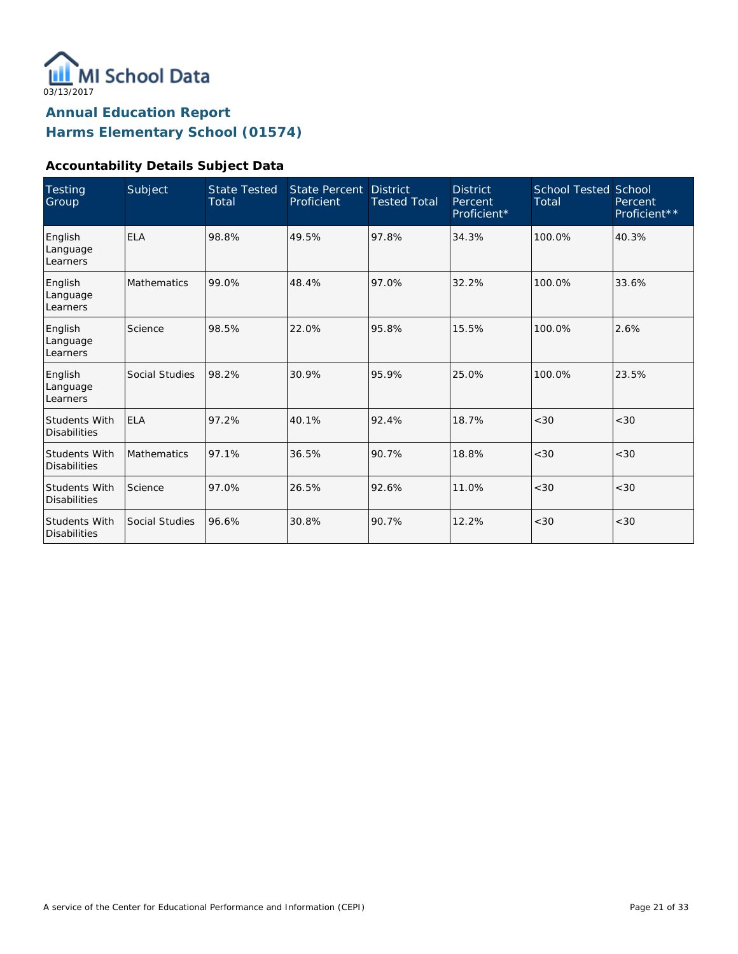

### **Accountability Details Subject Data**

| Testing<br>Group                            | Subject            | <b>State Tested</b><br>Total | <b>State Percent</b><br>Proficient | <b>District</b><br><b>Tested Total</b> | <b>District</b><br>Percent<br>Proficient* | <b>School Tested School</b><br>Total | Percent<br>Proficient** |
|---------------------------------------------|--------------------|------------------------------|------------------------------------|----------------------------------------|-------------------------------------------|--------------------------------------|-------------------------|
| English<br>Language<br>Learners             | <b>ELA</b>         | 98.8%                        | 49.5%                              | 97.8%                                  | 34.3%                                     | 100.0%                               | 40.3%                   |
| English<br>Language<br>Learners             | <b>Mathematics</b> | 99.0%                        | 48.4%                              | 97.0%                                  | 32.2%                                     | 100.0%                               | 33.6%                   |
| English<br>Language<br>Learners             | Science            | 98.5%                        | 22.0%                              | 95.8%                                  | 15.5%                                     | 100.0%                               | 2.6%                    |
| English<br>Language<br>Learners             | Social Studies     | 98.2%                        | 30.9%                              | 95.9%                                  | 25.0%                                     | 100.0%                               | 23.5%                   |
| <b>Students With</b><br><b>Disabilities</b> | <b>ELA</b>         | 97.2%                        | 40.1%                              | 92.4%                                  | 18.7%                                     | < 30                                 | < 30                    |
| <b>Students With</b><br><b>Disabilities</b> | Mathematics        | 97.1%                        | 36.5%                              | 90.7%                                  | 18.8%                                     | < 30                                 | < 30                    |
| Students With<br><b>Disabilities</b>        | Science            | 97.0%                        | 26.5%                              | 92.6%                                  | 11.0%                                     | < 30                                 | <30                     |
| Students With<br><b>Disabilities</b>        | Social Studies     | 96.6%                        | 30.8%                              | 90.7%                                  | 12.2%                                     | < 30                                 | <30                     |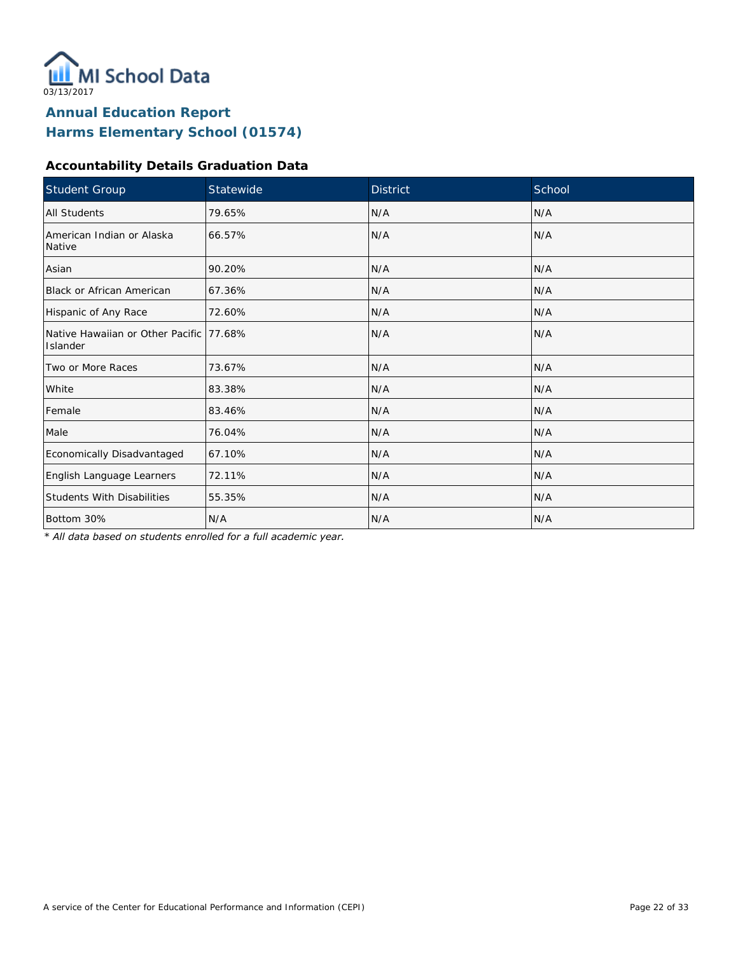

### **Accountability Details Graduation Data**

| Student Group                                        | Statewide | <b>District</b> | School |
|------------------------------------------------------|-----------|-----------------|--------|
| All Students                                         | 79.65%    | N/A             | N/A    |
| American Indian or Alaska<br>Native                  | 66.57%    | N/A             | N/A    |
| Asian                                                | 90.20%    | N/A             | N/A    |
| <b>Black or African American</b>                     | 67.36%    | N/A             | N/A    |
| Hispanic of Any Race                                 | 72.60%    | N/A             | N/A    |
| Native Hawaiian or Other Pacific 177.68%<br>Islander |           | N/A             | N/A    |
| Two or More Races                                    | 73.67%    | N/A             | N/A    |
| White                                                | 83.38%    | N/A             | N/A    |
| Female                                               | 83.46%    | N/A             | N/A    |
| Male                                                 | 76.04%    | N/A             | N/A    |
| Economically Disadvantaged                           | 67.10%    | N/A             | N/A    |
| English Language Learners                            | 72.11%    | N/A             | N/A    |
| <b>Students With Disabilities</b>                    | 55.35%    | N/A             | N/A    |
| Bottom 30%                                           | N/A       | N/A             | N/A    |

*\* All data based on students enrolled for a full academic year.*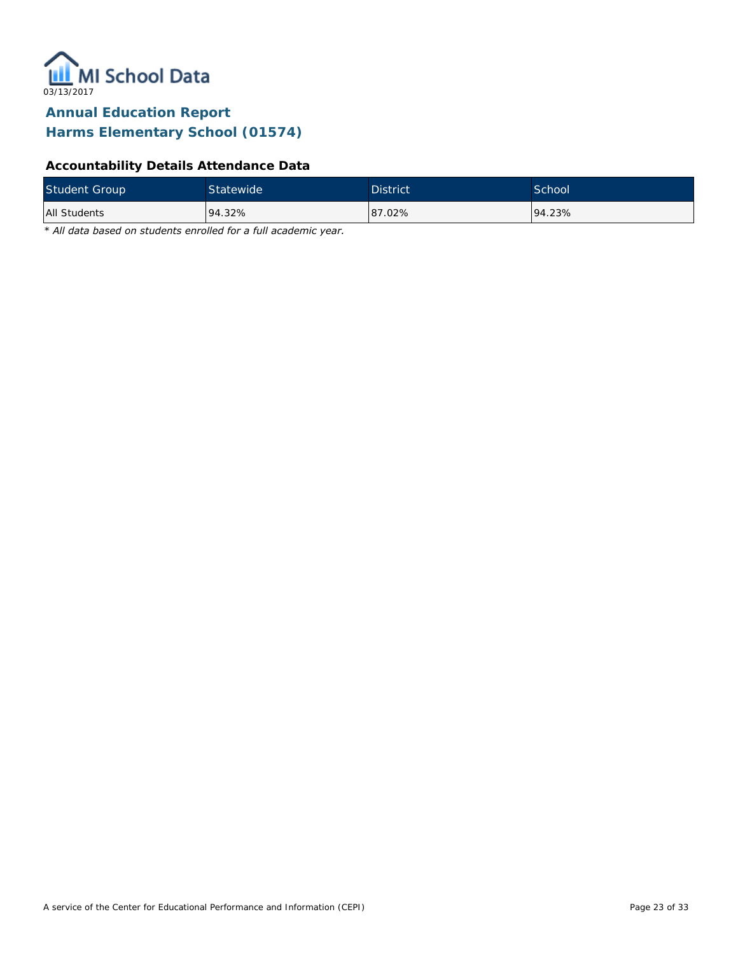

### **Accountability Details Attendance Data**

| <b>Student Group</b> | <b>Statewide</b> | <b>District</b> | School <sup>1</sup> |
|----------------------|------------------|-----------------|---------------------|
| All Students         | 94.32%           | 87.02%          | 94.23%              |

*\* All data based on students enrolled for a full academic year.*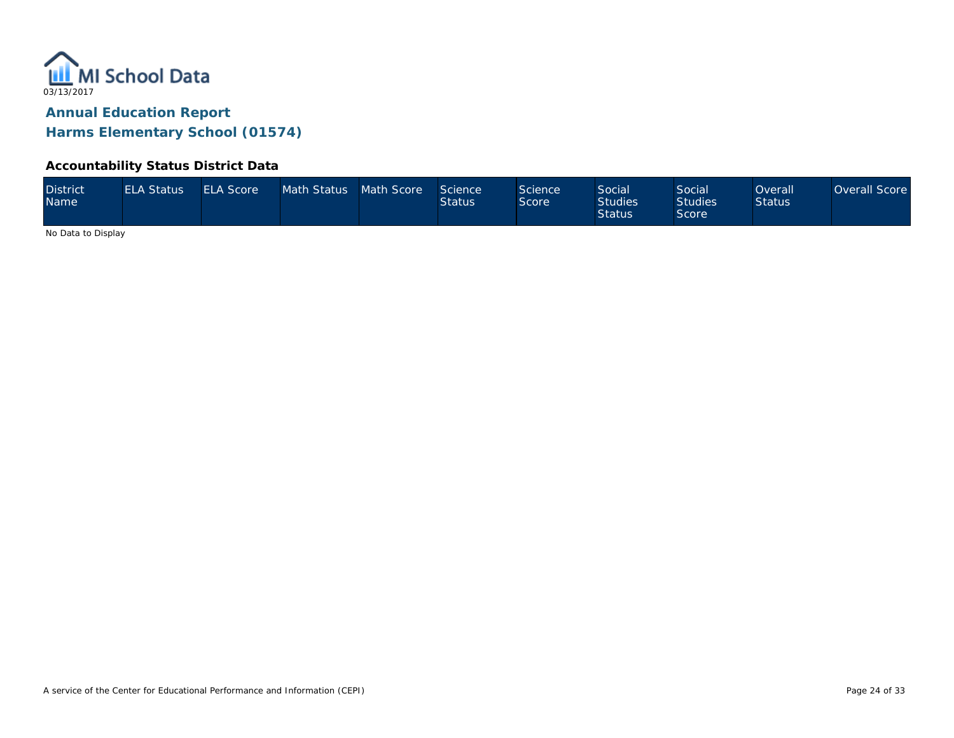

#### **Accountability Status District Data**

| <b>District</b><br><b>Name</b> | <b>ELA Status</b> | <b>ELA Score</b> | Math Status Math Score |  | Science<br><b>Status</b> | Science<br>Score | <b>Social</b><br><b>Studies</b><br><b>Status</b> | Social<br><b>Studies</b><br>Score | Overall'<br><b>Status</b> | Overall Score |
|--------------------------------|-------------------|------------------|------------------------|--|--------------------------|------------------|--------------------------------------------------|-----------------------------------|---------------------------|---------------|
|--------------------------------|-------------------|------------------|------------------------|--|--------------------------|------------------|--------------------------------------------------|-----------------------------------|---------------------------|---------------|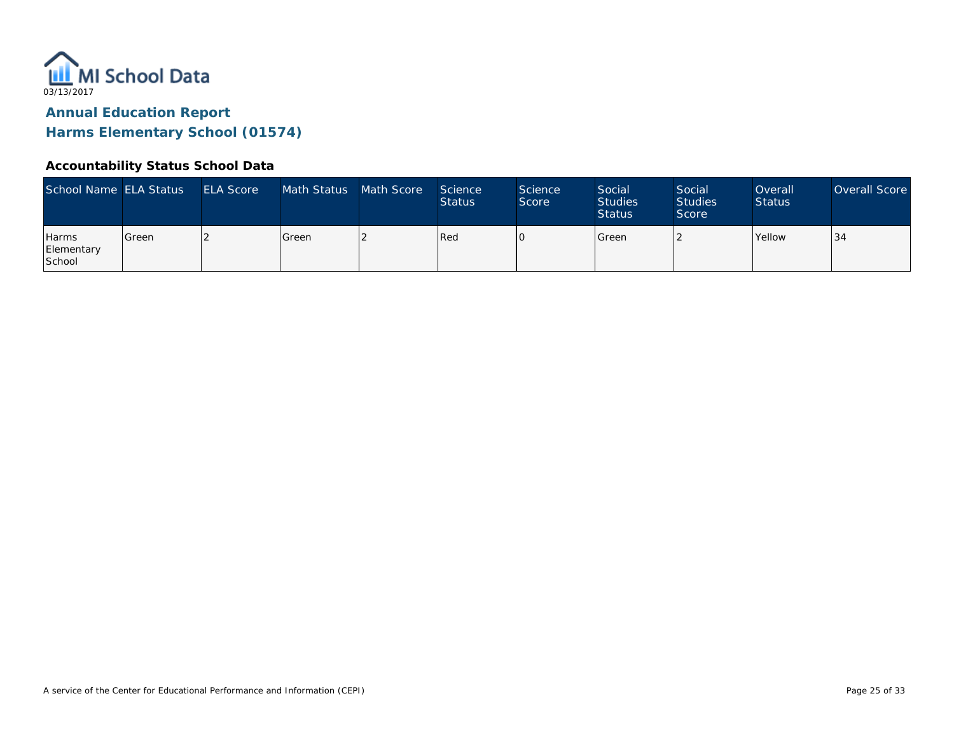

#### **Accountability Status School Data**

| School Name ELA Status               |         | <b>ELA Score</b> | Math Status | Math Score | Science<br><b>Status</b> | <b>Science</b><br>Score | Social<br><b>Studies</b><br><b>Status</b> | Social<br><b>Studies</b><br>Score | Overall<br><b>Status</b> | Overall Score |
|--------------------------------------|---------|------------------|-------------|------------|--------------------------|-------------------------|-------------------------------------------|-----------------------------------|--------------------------|---------------|
| <b>Harms</b><br>Elementary<br>School | l Green |                  | Green       |            | Red                      |                         | <b>S</b> reen                             |                                   | <b>Yellow</b>            | 34            |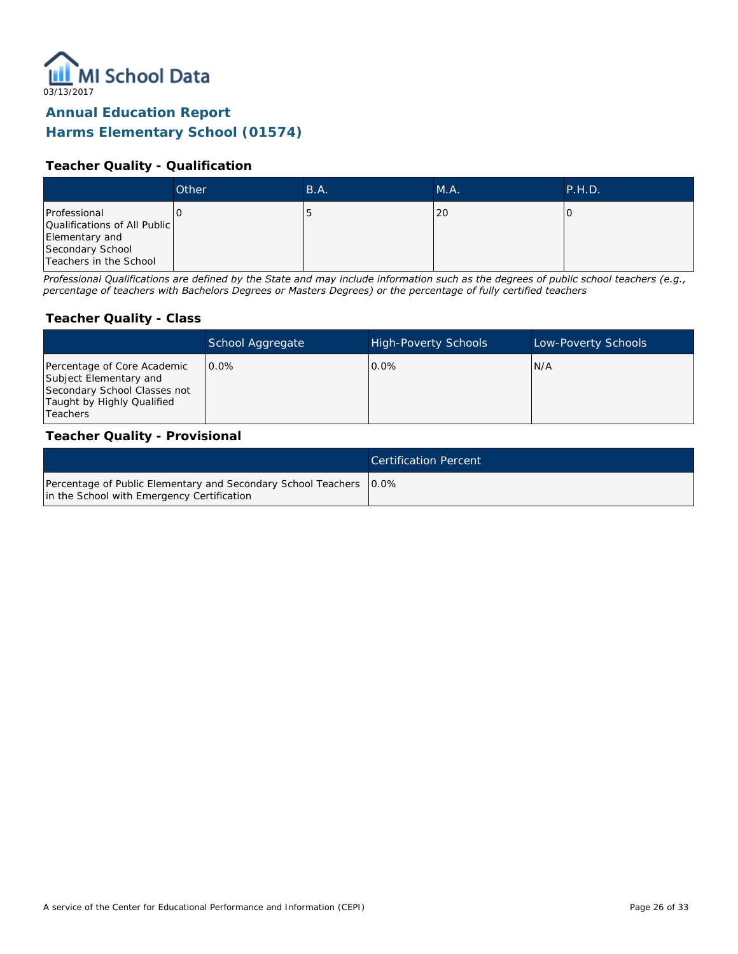

### **Teacher Quality - Qualification**

|                                                                                                              | Other | B.A. | M.A. | P.H.D. |
|--------------------------------------------------------------------------------------------------------------|-------|------|------|--------|
| Professional<br>Qualifications of All Public<br>Elementary and<br>Secondary School<br>Teachers in the School |       | τ.   | 20   |        |

*Professional Qualifications are defined by the State and may include information such as the degrees of public school teachers (e.g., percentage of teachers with Bachelors Degrees or Masters Degrees) or the percentage of fully certified teachers*

#### **Teacher Quality - Class**

|                                                                                                                                        | School Aggregate | <b>High-Poverty Schools</b> | Low-Poverty Schools |
|----------------------------------------------------------------------------------------------------------------------------------------|------------------|-----------------------------|---------------------|
| Percentage of Core Academic<br>Subject Elementary and<br>Secondary School Classes not<br>Taught by Highly Qualified<br><b>Teachers</b> | $0.0\%$          | $0.0\%$                     | IN/A                |

#### **Teacher Quality - Provisional**

|                                                                                                                    | Certification Percent |
|--------------------------------------------------------------------------------------------------------------------|-----------------------|
| Percentage of Public Elementary and Secondary School Teachers   0.0%<br>in the School with Emergency Certification |                       |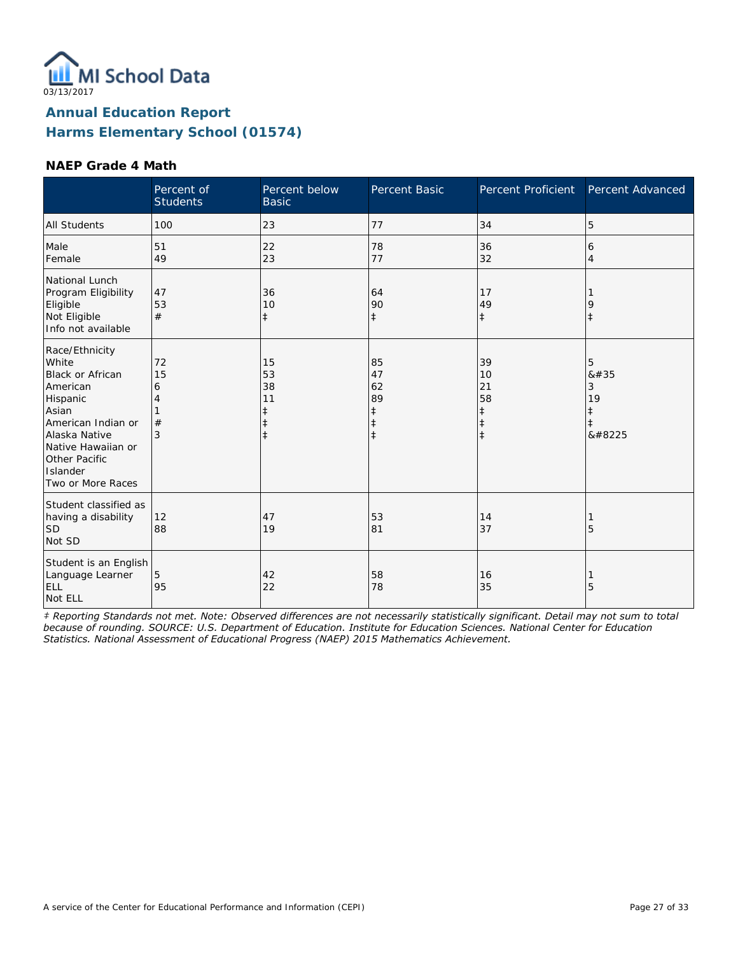

#### **NAEP Grade 4 Math**

|                                                                                                                                                                                                    | Percent of<br><b>Students</b> | Percent below<br><b>Basic</b>                         | <b>Percent Basic</b>                                  | Percent Proficient                                             | Percent Advanced                    |
|----------------------------------------------------------------------------------------------------------------------------------------------------------------------------------------------------|-------------------------------|-------------------------------------------------------|-------------------------------------------------------|----------------------------------------------------------------|-------------------------------------|
| <b>All Students</b>                                                                                                                                                                                | 100                           | 23                                                    | 77                                                    | 34                                                             | 5                                   |
| Male<br>Female                                                                                                                                                                                     | 51<br>49                      | 22<br>23                                              | 78<br>77                                              | 36<br>32                                                       | 6<br>4                              |
| National Lunch<br>Program Eligibility<br>Eligible<br>Not Eligible<br>Info not available                                                                                                            | 47<br>53<br>#                 | 36<br>10<br>$\ddagger$                                | 64<br>90<br>$\ddagger$                                | 17<br>49<br>$\ddagger$                                         | 9<br>$\ddagger$                     |
| Race/Ethnicity<br>White<br><b>Black or African</b><br>American<br>Hispanic<br>Asian<br>American Indian or<br>Alaska Native<br>Native Hawaiian or<br>Other Pacific<br>Islander<br>Two or More Races | 72<br>15<br>6<br>4<br>#<br>3  | 15<br>53<br>38<br>11<br>$\ddagger$<br>ŧ<br>$\ddagger$ | 85<br>47<br>62<br>89<br>‡<br>$\ddagger$<br>$\ddagger$ | 39<br>10<br>21<br>58<br>$\ddagger$<br>$\ddagger$<br>$\ddagger$ | 5<br>8#35<br>3<br>19<br>‡<br>ŧ<br>‡ |
| Student classified as<br>having a disability<br><b>SD</b><br>Not SD                                                                                                                                | 12<br>88                      | 47<br>19                                              | 53<br>81                                              | 14<br>37                                                       | 5                                   |
| Student is an English<br>Language Learner<br>ELL<br>Not ELL                                                                                                                                        | 5<br>95                       | 42<br>22                                              | 58<br>78                                              | 16<br>35                                                       | 5                                   |

*‡ Reporting Standards not met. Note: Observed differences are not necessarily statistically significant. Detail may not sum to total because of rounding. SOURCE: U.S. Department of Education. Institute for Education Sciences. National Center for Education Statistics. National Assessment of Educational Progress (NAEP) 2015 Mathematics Achievement.*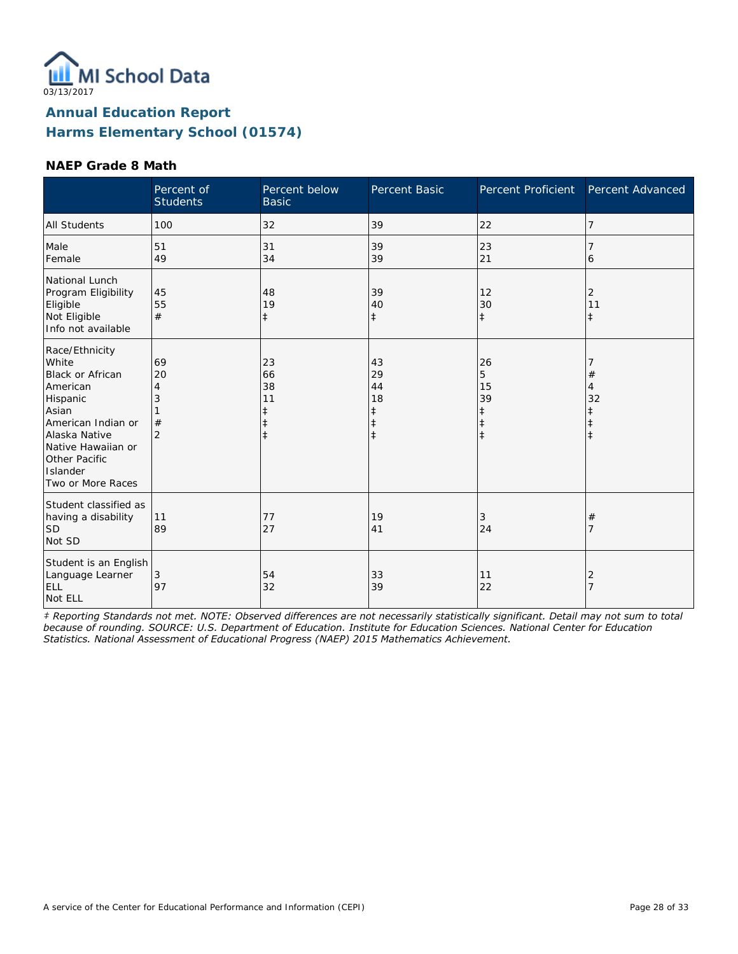

#### **NAEP Grade 8 Math**

|                                                                                                                                                                                                    | Percent of<br><b>Students</b>             | Percent below<br><b>Basic</b>                                  | Percent Basic                                         | Percent Proficient                                            | Percent Advanced                                          |
|----------------------------------------------------------------------------------------------------------------------------------------------------------------------------------------------------|-------------------------------------------|----------------------------------------------------------------|-------------------------------------------------------|---------------------------------------------------------------|-----------------------------------------------------------|
| <b>All Students</b>                                                                                                                                                                                | 100                                       | 32                                                             | 39                                                    | 22                                                            | $\overline{7}$                                            |
| Male<br>Female                                                                                                                                                                                     | 51<br>49                                  | 31<br>34                                                       | 39<br>39                                              | 23<br>21                                                      | 6                                                         |
| National Lunch<br>Program Eligibility<br>Eligible<br>Not Eligible<br>Info not available                                                                                                            | 45<br>55<br>#                             | 48<br>19<br>$\ddagger$                                         | 39<br>40<br>$\ddagger$                                | 12<br>30<br>$\ddagger$                                        | 2<br>11<br>$\ddagger$                                     |
| Race/Ethnicity<br>White<br><b>Black or African</b><br>American<br>Hispanic<br>Asian<br>American Indian or<br>Alaska Native<br>Native Hawaiian or<br>Other Pacific<br>Islander<br>Two or More Races | 69<br>20<br>4<br>3<br>#<br>$\overline{2}$ | 23<br>66<br>38<br>11<br>$\ddagger$<br>$\ddagger$<br>$\ddagger$ | 43<br>29<br>44<br>18<br>ŧ<br>$\ddagger$<br>$\ddagger$ | 26<br>5<br>15<br>39<br>$\ddagger$<br>$\ddagger$<br>$\ddagger$ | $\#$<br>4<br>32<br>$\ddagger$<br>$\ddagger$<br>$\ddagger$ |
| Student classified as<br>having a disability<br><b>SD</b><br>Not SD                                                                                                                                | 11<br>89                                  | 77<br>27                                                       | 19<br>41                                              | 3<br>24                                                       | $^{\#}$<br>7                                              |
| Student is an English<br>Language Learner<br>ELL<br>Not ELL                                                                                                                                        | 3<br>97                                   | 54<br>32                                                       | 33<br>39                                              | 11<br>22                                                      | 2<br>$\overline{7}$                                       |

*‡ Reporting Standards not met. NOTE: Observed differences are not necessarily statistically significant. Detail may not sum to total because of rounding. SOURCE: U.S. Department of Education. Institute for Education Sciences. National Center for Education Statistics. National Assessment of Educational Progress (NAEP) 2015 Mathematics Achievement.*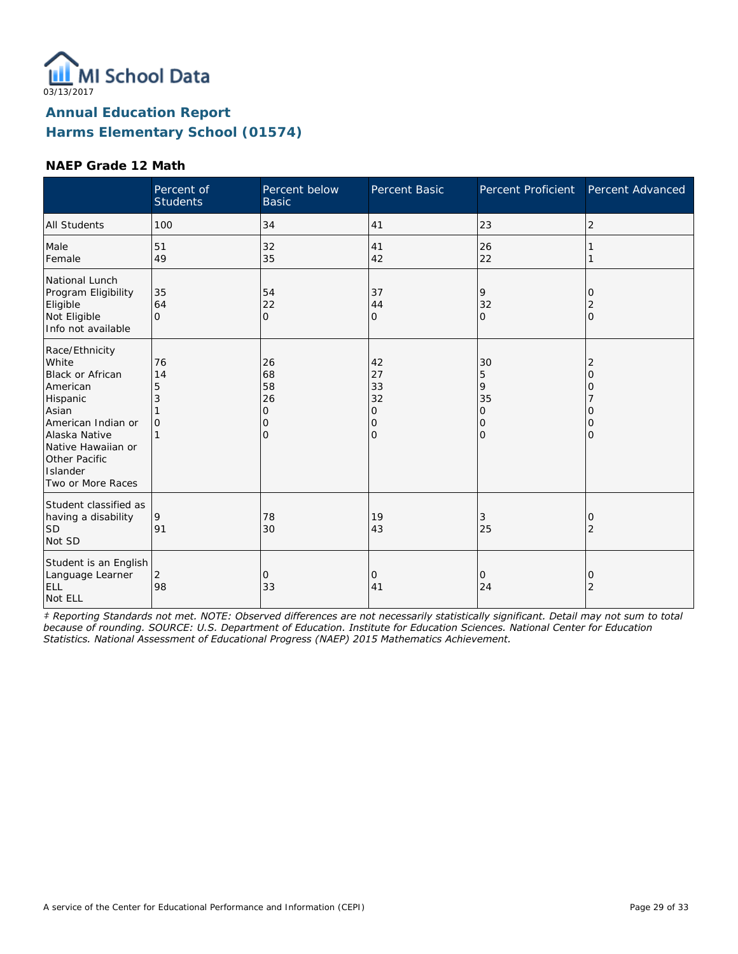

#### **NAEP Grade 12 Math**

|                                                                                                                                                                                                    | Percent of<br><b>Students</b>        | Percent below<br><b>Basic</b>                 | Percent Basic                                              | Percent Proficient                                          | Percent Advanced                                                |
|----------------------------------------------------------------------------------------------------------------------------------------------------------------------------------------------------|--------------------------------------|-----------------------------------------------|------------------------------------------------------------|-------------------------------------------------------------|-----------------------------------------------------------------|
| <b>All Students</b>                                                                                                                                                                                | 100                                  | 34                                            | 41                                                         | 23                                                          | $\overline{2}$                                                  |
| Male<br>Female                                                                                                                                                                                     | 51<br>49                             | 32<br>35                                      | 41<br>42                                                   | 26<br>22                                                    |                                                                 |
| National Lunch<br>Program Eligibility<br>Eligible<br>Not Eligible<br>Info not available                                                                                                            | 35<br>64<br>$\Omega$                 | 54<br>22<br>0                                 | 37<br>44<br>0                                              | 9<br>32<br>$\Omega$                                         | 0<br>2<br>$\mathbf{O}$                                          |
| Race/Ethnicity<br>White<br><b>Black or African</b><br>American<br>Hispanic<br>Asian<br>American Indian or<br>Alaska Native<br>Native Hawaiian or<br>Other Pacific<br>Islander<br>Two or More Races | 76<br>14<br>5<br>3<br>$\overline{O}$ | 26<br>68<br>58<br>26<br>$\mathbf 0$<br>0<br>O | 42<br>27<br>33<br>32<br>0<br>$\mathbf 0$<br>$\overline{O}$ | 30<br>5<br>9<br>35<br>$\overline{O}$<br>0<br>$\overline{O}$ | $\overline{2}$<br>$\overline{O}$<br>0<br>Ω<br>0<br>$\mathbf{O}$ |
| Student classified as<br>having a disability<br><b>SD</b><br>Not SD                                                                                                                                | 9<br>91                              | 78<br>30                                      | 19<br>43                                                   | 3<br>25                                                     | 0<br>2                                                          |
| Student is an English<br>Language Learner<br>ELL<br>Not ELL                                                                                                                                        | 2<br>98                              | 0<br>33                                       | 0<br>41                                                    | 0<br>24                                                     | 0<br>$\overline{2}$                                             |

*‡ Reporting Standards not met. NOTE: Observed differences are not necessarily statistically significant. Detail may not sum to total because of rounding. SOURCE: U.S. Department of Education. Institute for Education Sciences. National Center for Education Statistics. National Assessment of Educational Progress (NAEP) 2015 Mathematics Achievement.*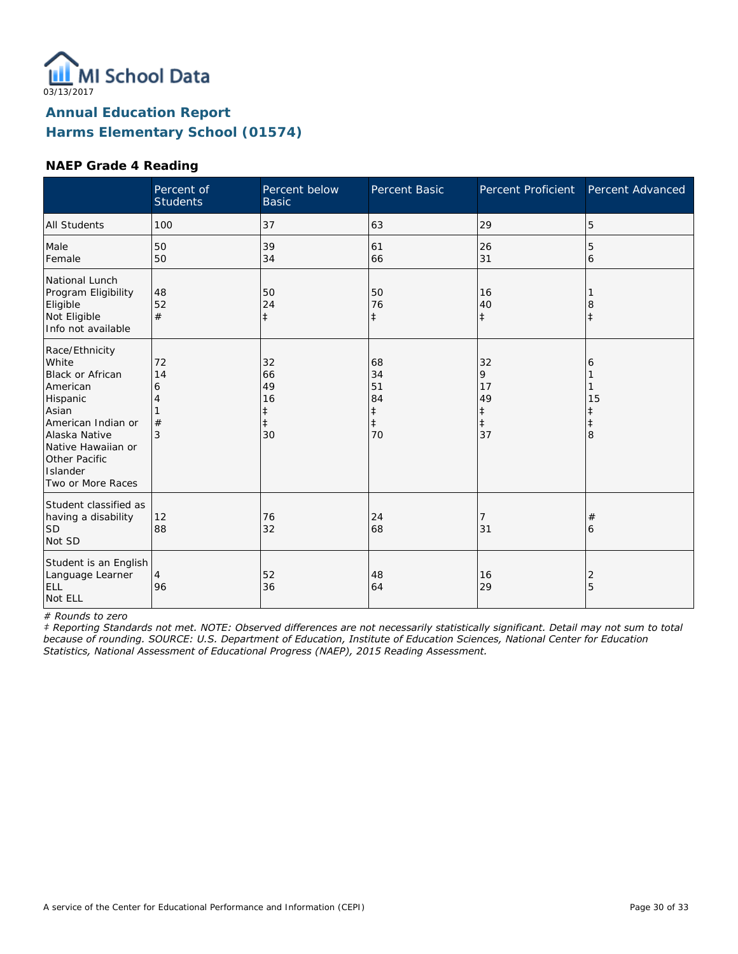

#### **NAEP Grade 4 Reading**

|                                                                                                                                                                                                    | Percent of<br><b>Students</b> | Percent below<br><b>Basic</b>                 | Percent Basic                                          | <b>Percent Proficient</b>                    | Percent Advanced                |
|----------------------------------------------------------------------------------------------------------------------------------------------------------------------------------------------------|-------------------------------|-----------------------------------------------|--------------------------------------------------------|----------------------------------------------|---------------------------------|
| <b>All Students</b>                                                                                                                                                                                | 100                           | 37                                            | 63                                                     | 29                                           | 5                               |
| Male<br>Female                                                                                                                                                                                     | 50<br>50                      | 39<br>34                                      | 61<br>66                                               | 26<br>31                                     | 5<br>6                          |
| National Lunch<br>Program Eligibility<br>Eligible<br>Not Eligible<br>Info not available                                                                                                            | 48<br>52<br>#                 | 50<br>24<br>$\ddagger$                        | 50<br>76<br>$\ddagger$                                 | 16<br>40<br>$\ddagger$                       | 8                               |
| Race/Ethnicity<br>White<br><b>Black or African</b><br>American<br>Hispanic<br>Asian<br>American Indian or<br>Alaska Native<br>Native Hawaiian or<br>Other Pacific<br>Islander<br>Two or More Races | 72<br>14<br>6<br>4<br>#<br>3  | 32<br>66<br>49<br>16<br>ŧ<br>$\ddagger$<br>30 | 68<br>34<br>51<br>84<br>$\ddagger$<br>$\ddagger$<br>70 | 32<br>9<br>17<br>49<br>‡<br>$\ddagger$<br>37 | 6<br>15<br>ŧ<br>$\ddagger$<br>8 |
| Student classified as<br>having a disability<br><b>SD</b><br>Not SD                                                                                                                                | 12<br>88                      | 76<br>32                                      | 24<br>68                                               | 7<br>31                                      | #<br>6                          |
| Student is an English<br>Language Learner<br>ELL<br>Not ELL                                                                                                                                        | 4<br>96                       | 52<br>36                                      | 48<br>64                                               | 16<br>29                                     | 2<br>5                          |

*# Rounds to zero*

*‡ Reporting Standards not met. NOTE: Observed differences are not necessarily statistically significant. Detail may not sum to total because of rounding. SOURCE: U.S. Department of Education, Institute of Education Sciences, National Center for Education Statistics, National Assessment of Educational Progress (NAEP), 2015 Reading Assessment.*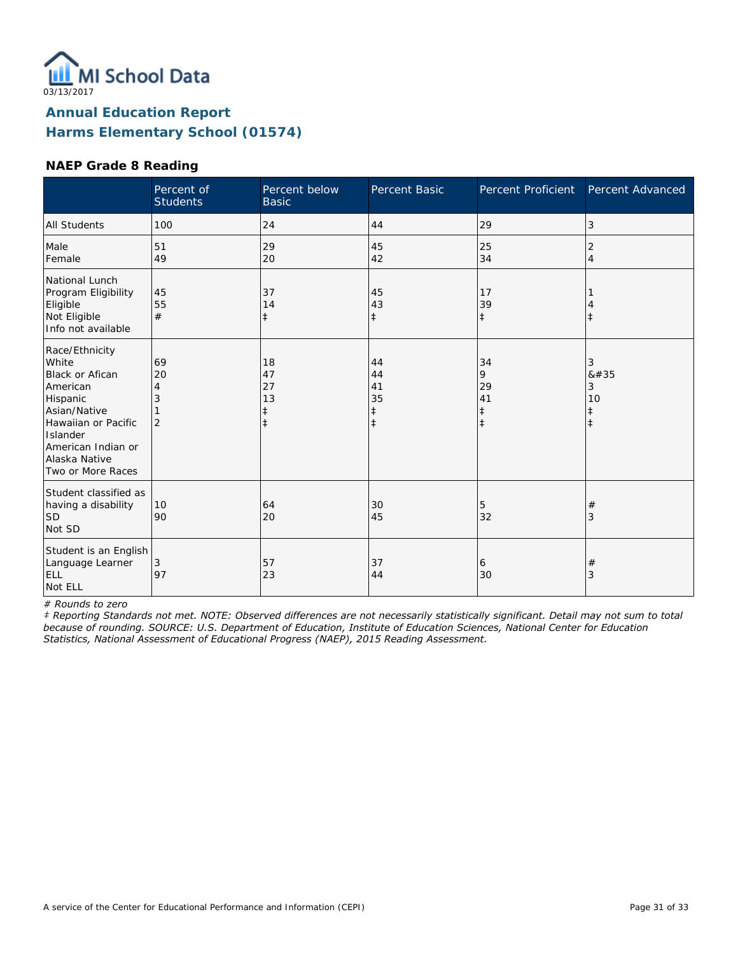

#### **NAEP Grade 8 Reading**

|                                                                                                                                                                                   | Percent of<br><b>Students</b>        | Percent below<br><b>Basic</b>           | Percent Basic                                    | Percent Proficient                              | Percent Advanced                              |
|-----------------------------------------------------------------------------------------------------------------------------------------------------------------------------------|--------------------------------------|-----------------------------------------|--------------------------------------------------|-------------------------------------------------|-----------------------------------------------|
| <b>All Students</b>                                                                                                                                                               | 100                                  | 24                                      | 44                                               | 29                                              | 3                                             |
| Male<br>Female                                                                                                                                                                    | 51<br>49                             | 29<br>20                                | 45<br>42                                         | 25<br>34                                        | 2<br>$\overline{4}$                           |
| National Lunch<br>Program Eligibility<br>Eligible<br>Not Eligible<br>Info not available                                                                                           | 45<br>55<br>#                        | 37<br>14<br>$\ddagger$                  | 45<br>43<br>$\ddagger$                           | 17<br>39<br>$\ddagger$                          | $\ddagger$                                    |
| Race/Ethnicity<br>White<br>Black or Afican<br>American<br>Hispanic<br>Asian/Native<br>Hawaiian or Pacific<br>Islander<br>American Indian or<br>Alaska Native<br>Two or More Races | 69<br>20<br>4<br>3<br>$\overline{2}$ | 18<br>47<br>27<br>13<br>‡<br>$\ddagger$ | 44<br>44<br>41<br>35<br>$\ddagger$<br>$\ddagger$ | 34<br>9<br>29<br>41<br>$\ddagger$<br>$\ddagger$ | 3<br>#<br>3<br>10<br>$\ddagger$<br>$\ddagger$ |
| Student classified as<br>having a disability<br><b>SD</b><br>Not SD                                                                                                               | 10<br>90                             | 64<br>20                                | 30<br>45                                         | 5<br>32                                         | $^{\#}$<br>3                                  |
| Student is an English<br>Language Learner<br>ELL<br>Not ELL                                                                                                                       | 3<br>97                              | 57<br>23                                | 37<br>44                                         | 6<br>30                                         | $\#$<br>3                                     |

*# Rounds to zero*

*‡ Reporting Standards not met. NOTE: Observed differences are not necessarily statistically significant. Detail may not sum to total because of rounding. SOURCE: U.S. Department of Education, Institute of Education Sciences, National Center for Education Statistics, National Assessment of Educational Progress (NAEP), 2015 Reading Assessment.*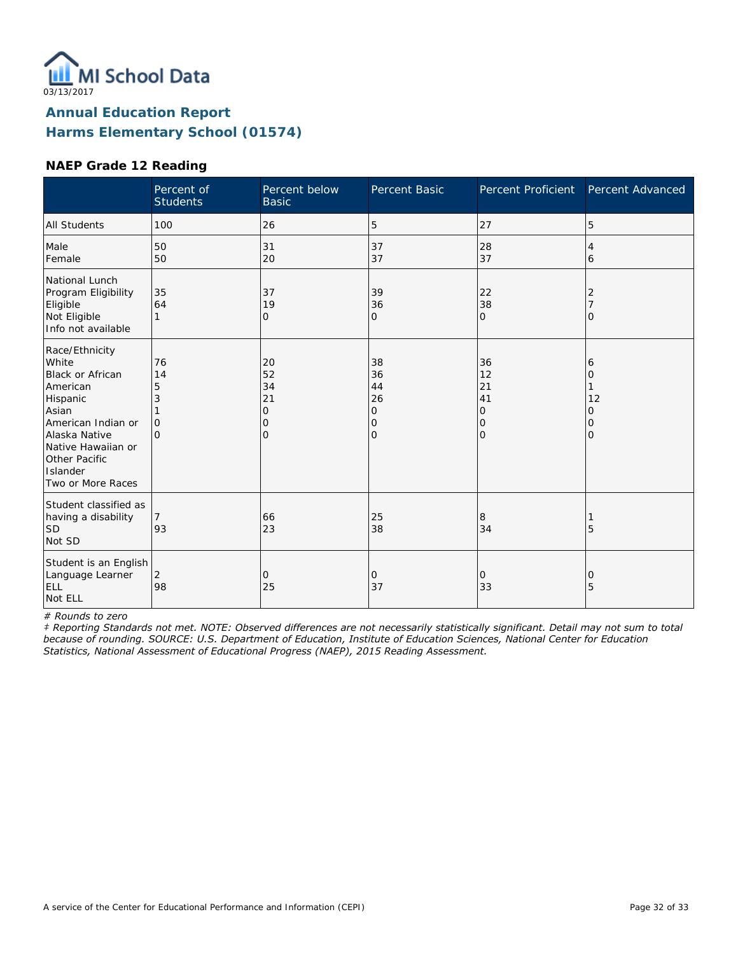

#### **NAEP Grade 12 Reading**

|                                                                                                                                                                                             | Percent of<br><b>Students</b>              | Percent below<br><b>Basic</b>                    | Percent Basic                                    | <b>Percent Proficient</b>            | Percent Advanced                   |
|---------------------------------------------------------------------------------------------------------------------------------------------------------------------------------------------|--------------------------------------------|--------------------------------------------------|--------------------------------------------------|--------------------------------------|------------------------------------|
| <b>All Students</b>                                                                                                                                                                         | 100                                        | 26                                               | 5                                                | 27                                   | 5                                  |
| Male<br>Female                                                                                                                                                                              | 50<br>50                                   | 31<br>20                                         | 37<br>37                                         | 28<br>37                             | 4<br>6                             |
| National Lunch<br>Program Eligibility<br>Eligible<br>Not Eligible<br>Info not available                                                                                                     | 35<br>64<br>1                              | 37<br>19<br>$\mathbf{O}$                         | 39<br>36<br>O                                    | 22<br>38<br>$\mathbf{O}$             | 2<br>O                             |
| Race/Ethnicity<br>White<br>Black or African<br>American<br>Hispanic<br>Asian<br>American Indian or<br>Alaska Native<br>Native Hawaiian or<br>Other Pacific<br>Islander<br>Two or More Races | 76<br>14<br>5<br>3<br>$\Omega$<br>$\Omega$ | 20<br>52<br>34<br>21<br>0<br>0<br>$\overline{O}$ | 38<br>36<br>44<br>26<br>0<br>0<br>$\overline{O}$ | 36<br>12<br>21<br>41<br>0<br>0<br>lo | 6<br>0<br>12<br>0<br>0<br>$\Omega$ |
| Student classified as<br>having a disability<br><b>SD</b><br>Not SD                                                                                                                         | 93                                         | 66<br>23                                         | 25<br>38                                         | 8<br>34                              | 5                                  |
| Student is an English<br>Language Learner<br>ELL<br>Not ELL                                                                                                                                 | 2<br>98                                    | 0<br>25                                          | 0<br>37                                          | 0<br>33                              | 0<br>5                             |

*# Rounds to zero*

*‡ Reporting Standards not met. NOTE: Observed differences are not necessarily statistically significant. Detail may not sum to total because of rounding. SOURCE: U.S. Department of Education, Institute of Education Sciences, National Center for Education Statistics, National Assessment of Educational Progress (NAEP), 2015 Reading Assessment.*